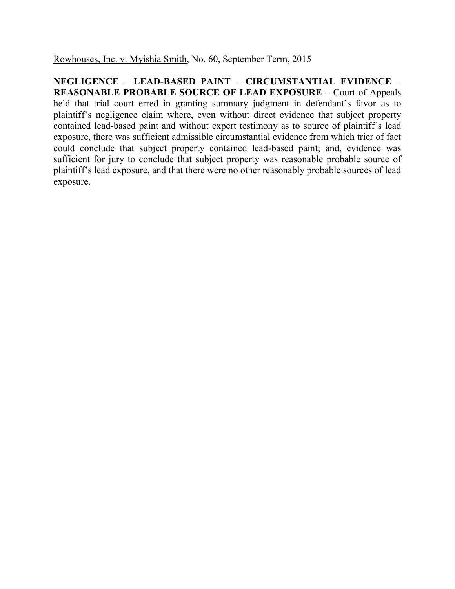Rowhouses, Inc. v. Myishia Smith, No. 60, September Term, 2015

**NEGLIGENCE – LEAD-BASED PAINT – CIRCUMSTANTIAL EVIDENCE – REASONABLE PROBABLE SOURCE OF LEAD EXPOSURE –** Court of Appeals held that trial court erred in granting summary judgment in defendant's favor as to plaintiff's negligence claim where, even without direct evidence that subject property contained lead-based paint and without expert testimony as to source of plaintiff's lead exposure, there was sufficient admissible circumstantial evidence from which trier of fact could conclude that subject property contained lead-based paint; and, evidence was sufficient for jury to conclude that subject property was reasonable probable source of plaintiff's lead exposure, and that there were no other reasonably probable sources of lead exposure.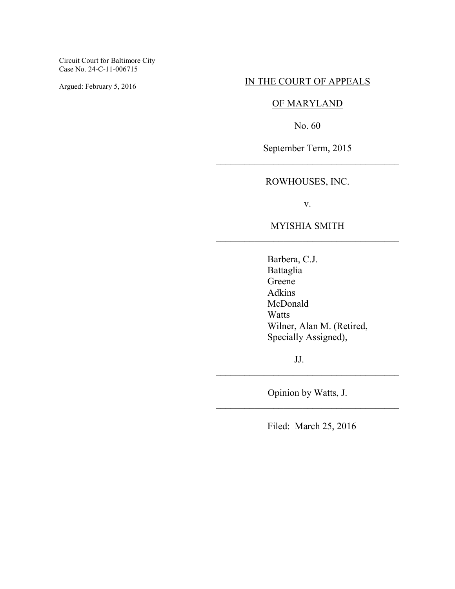Circuit Court for Baltimore City Case No. 24-C-11-006715

Argued: February 5, 2016

## IN THE COURT OF APPEALS

# OF MARYLAND

No. 60

September Term, 2015 \_\_\_\_\_\_\_\_\_\_\_\_\_\_\_\_\_\_\_\_\_\_\_\_\_\_\_\_\_\_\_\_\_\_\_\_\_\_

# ROWHOUSES, INC.

v.

# MYISHIA SMITH \_\_\_\_\_\_\_\_\_\_\_\_\_\_\_\_\_\_\_\_\_\_\_\_\_\_\_\_\_\_\_\_\_\_\_\_\_\_

Barbera, C.J. Battaglia Greene Adkins McDonald Watts Wilner, Alan M. (Retired, Specially Assigned),

JJ.

Opinion by Watts, J. \_\_\_\_\_\_\_\_\_\_\_\_\_\_\_\_\_\_\_\_\_\_\_\_\_\_\_\_\_\_\_\_\_\_\_\_\_\_

\_\_\_\_\_\_\_\_\_\_\_\_\_\_\_\_\_\_\_\_\_\_\_\_\_\_\_\_\_\_\_\_\_\_\_\_\_\_

Filed: March 25, 2016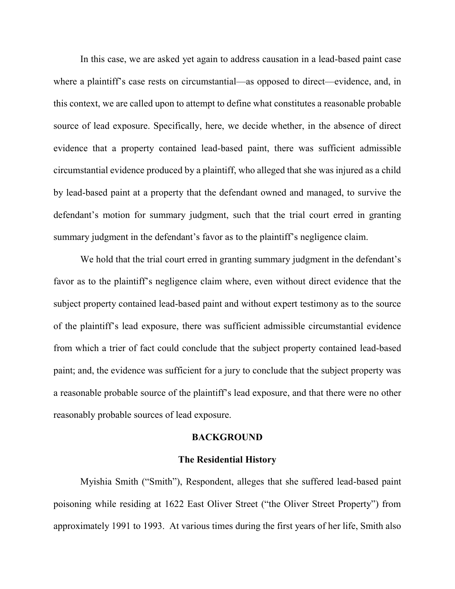In this case, we are asked yet again to address causation in a lead-based paint case where a plaintiff's case rests on circumstantial—as opposed to direct—evidence, and, in this context, we are called upon to attempt to define what constitutes a reasonable probable source of lead exposure. Specifically, here, we decide whether, in the absence of direct evidence that a property contained lead-based paint, there was sufficient admissible circumstantial evidence produced by a plaintiff, who alleged that she was injured as a child by lead-based paint at a property that the defendant owned and managed, to survive the defendant's motion for summary judgment, such that the trial court erred in granting summary judgment in the defendant's favor as to the plaintiff's negligence claim.

We hold that the trial court erred in granting summary judgment in the defendant's favor as to the plaintiff's negligence claim where, even without direct evidence that the subject property contained lead-based paint and without expert testimony as to the source of the plaintiff's lead exposure, there was sufficient admissible circumstantial evidence from which a trier of fact could conclude that the subject property contained lead-based paint; and, the evidence was sufficient for a jury to conclude that the subject property was a reasonable probable source of the plaintiff's lead exposure, and that there were no other reasonably probable sources of lead exposure.

### **BACKGROUND**

### **The Residential History**

 Myishia Smith ("Smith"), Respondent, alleges that she suffered lead-based paint poisoning while residing at 1622 East Oliver Street ("the Oliver Street Property") from approximately 1991 to 1993. At various times during the first years of her life, Smith also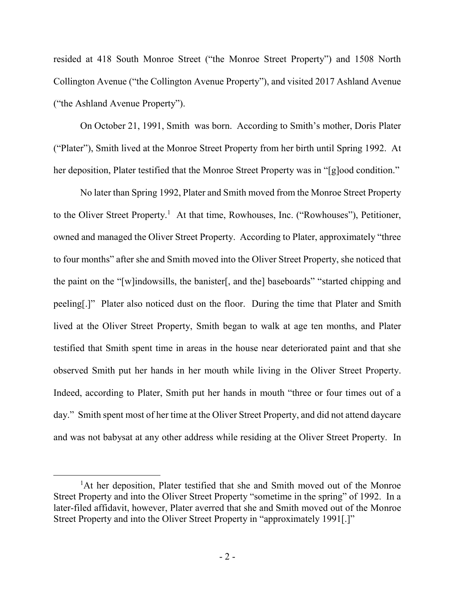resided at 418 South Monroe Street ("the Monroe Street Property") and 1508 North Collington Avenue ("the Collington Avenue Property"), and visited 2017 Ashland Avenue ("the Ashland Avenue Property").

On October 21, 1991, Smith was born. According to Smith's mother, Doris Plater ("Plater"), Smith lived at the Monroe Street Property from her birth until Spring 1992. At her deposition, Plater testified that the Monroe Street Property was in "[g]ood condition."

 No later than Spring 1992, Plater and Smith moved from the Monroe Street Property to the Oliver Street Property.<sup>1</sup> At that time, Rowhouses, Inc. ("Rowhouses"), Petitioner, owned and managed the Oliver Street Property. According to Plater, approximately "three to four months" after she and Smith moved into the Oliver Street Property, she noticed that the paint on the "[w]indowsills, the banister[, and the] baseboards" "started chipping and peeling[.]" Plater also noticed dust on the floor. During the time that Plater and Smith lived at the Oliver Street Property, Smith began to walk at age ten months, and Plater testified that Smith spent time in areas in the house near deteriorated paint and that she observed Smith put her hands in her mouth while living in the Oliver Street Property. Indeed, according to Plater, Smith put her hands in mouth "three or four times out of a day." Smith spent most of her time at the Oliver Street Property, and did not attend daycare and was not babysat at any other address while residing at the Oliver Street Property. In

<sup>&</sup>lt;sup>1</sup>At her deposition, Plater testified that she and Smith moved out of the Monroe Street Property and into the Oliver Street Property "sometime in the spring" of 1992. In a later-filed affidavit, however, Plater averred that she and Smith moved out of the Monroe Street Property and into the Oliver Street Property in "approximately 1991[.]"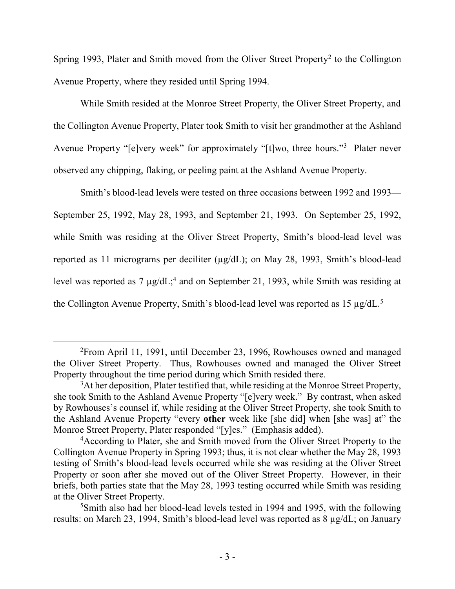Spring 1993, Plater and Smith moved from the Oliver Street Property<sup>2</sup> to the Collington Avenue Property, where they resided until Spring 1994.

 While Smith resided at the Monroe Street Property, the Oliver Street Property, and the Collington Avenue Property, Plater took Smith to visit her grandmother at the Ashland Avenue Property "[e]very week" for approximately "[t]wo, three hours."<sup>3</sup> Plater never observed any chipping, flaking, or peeling paint at the Ashland Avenue Property.

 Smith's blood-lead levels were tested on three occasions between 1992 and 1993— September 25, 1992, May 28, 1993, and September 21, 1993. On September 25, 1992, while Smith was residing at the Oliver Street Property, Smith's blood-lead level was reported as 11 micrograms per deciliter (µg/dL); on May 28, 1993, Smith's blood-lead level was reported as  $7 \mu g/dL$ ;<sup>4</sup> and on September 21, 1993, while Smith was residing at the Collington Avenue Property, Smith's blood-lead level was reported as 15  $\mu$ g/dL.<sup>5</sup>

 $\overline{a}$ <sup>2</sup>From April 11, 1991, until December 23, 1996, Rowhouses owned and managed the Oliver Street Property. Thus, Rowhouses owned and managed the Oliver Street Property throughout the time period during which Smith resided there.

<sup>&</sup>lt;sup>3</sup>At her deposition, Plater testified that, while residing at the Monroe Street Property, she took Smith to the Ashland Avenue Property "[e]very week." By contrast, when asked by Rowhouses's counsel if, while residing at the Oliver Street Property, she took Smith to the Ashland Avenue Property "every **other** week like [she did] when [she was] at" the Monroe Street Property, Plater responded "[y]es." (Emphasis added).

<sup>4</sup>According to Plater, she and Smith moved from the Oliver Street Property to the Collington Avenue Property in Spring 1993; thus, it is not clear whether the May 28, 1993 testing of Smith's blood-lead levels occurred while she was residing at the Oliver Street Property or soon after she moved out of the Oliver Street Property. However, in their briefs, both parties state that the May 28, 1993 testing occurred while Smith was residing at the Oliver Street Property.

<sup>5</sup>Smith also had her blood-lead levels tested in 1994 and 1995, with the following results: on March 23, 1994, Smith's blood-lead level was reported as 8 µg/dL; on January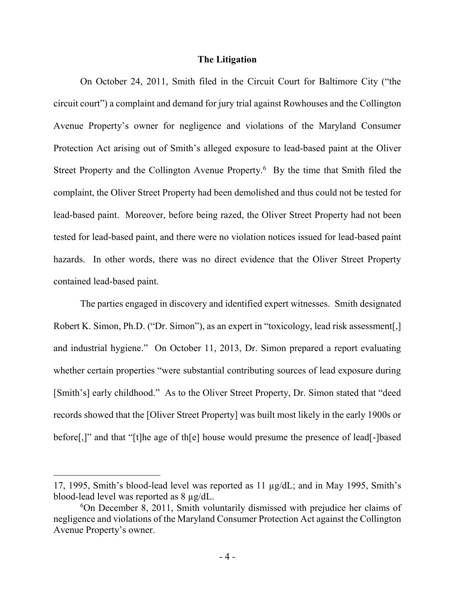### **The Litigation**

On October 24, 2011, Smith filed in the Circuit Court for Baltimore City ("the circuit court") a complaint and demand for jury trial against Rowhouses and the Collington Avenue Property's owner for negligence and violations of the Maryland Consumer Protection Act arising out of Smith's alleged exposure to lead-based paint at the Oliver Street Property and the Collington Avenue Property.<sup>6</sup> By the time that Smith filed the complaint, the Oliver Street Property had been demolished and thus could not be tested for lead-based paint. Moreover, before being razed, the Oliver Street Property had not been tested for lead-based paint, and there were no violation notices issued for lead-based paint hazards. In other words, there was no direct evidence that the Oliver Street Property contained lead-based paint.

 The parties engaged in discovery and identified expert witnesses. Smith designated Robert K. Simon, Ph.D. ("Dr. Simon"), as an expert in "toxicology, lead risk assessment. and industrial hygiene." On October 11, 2013, Dr. Simon prepared a report evaluating whether certain properties "were substantial contributing sources of lead exposure during [Smith's] early childhood." As to the Oliver Street Property, Dr. Simon stated that "deed records showed that the [Oliver Street Property] was built most likely in the early 1900s or before[,]" and that "[t]he age of th[e] house would presume the presence of lead[-]based

<sup>17, 1995,</sup> Smith's blood-lead level was reported as 11 µg/dL; and in May 1995, Smith's blood-lead level was reported as 8 µg/dL.

<sup>6</sup>On December 8, 2011, Smith voluntarily dismissed with prejudice her claims of negligence and violations of the Maryland Consumer Protection Act against the Collington Avenue Property's owner.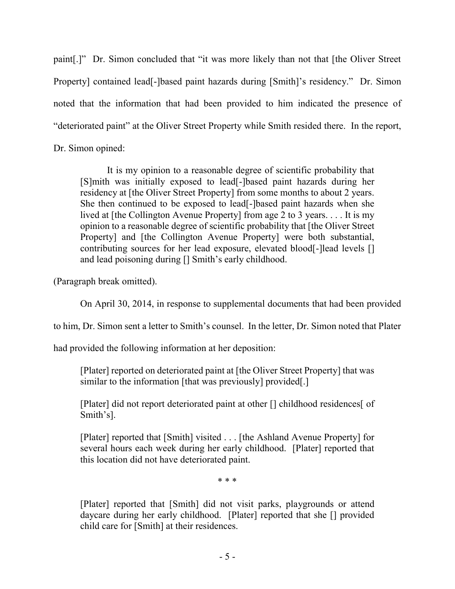paint[.]" Dr. Simon concluded that "it was more likely than not that [the Oliver Street Property] contained lead[-]based paint hazards during [Smith]'s residency." Dr. Simon noted that the information that had been provided to him indicated the presence of "deteriorated paint" at the Oliver Street Property while Smith resided there. In the report, Dr. Simon opined:

 It is my opinion to a reasonable degree of scientific probability that [S]mith was initially exposed to lead[-]based paint hazards during her residency at [the Oliver Street Property] from some months to about 2 years. She then continued to be exposed to lead[-]based paint hazards when she lived at [the Collington Avenue Property] from age 2 to 3 years. . . . It is my opinion to a reasonable degree of scientific probability that [the Oliver Street Property] and [the Collington Avenue Property] were both substantial, contributing sources for her lead exposure, elevated blood[-]lead levels [] and lead poisoning during [] Smith's early childhood.

(Paragraph break omitted).

On April 30, 2014, in response to supplemental documents that had been provided

to him, Dr. Simon sent a letter to Smith's counsel. In the letter, Dr. Simon noted that Plater

had provided the following information at her deposition:

[Plater] reported on deteriorated paint at [the Oliver Street Property] that was similar to the information [that was previously] provided[.]

[Plater] did not report deteriorated paint at other [] childhood residences[ of Smith's].

[Plater] reported that [Smith] visited . . . [the Ashland Avenue Property] for several hours each week during her early childhood. [Plater] reported that this location did not have deteriorated paint.

\* \* \*

[Plater] reported that [Smith] did not visit parks, playgrounds or attend daycare during her early childhood. [Plater] reported that she [] provided child care for [Smith] at their residences.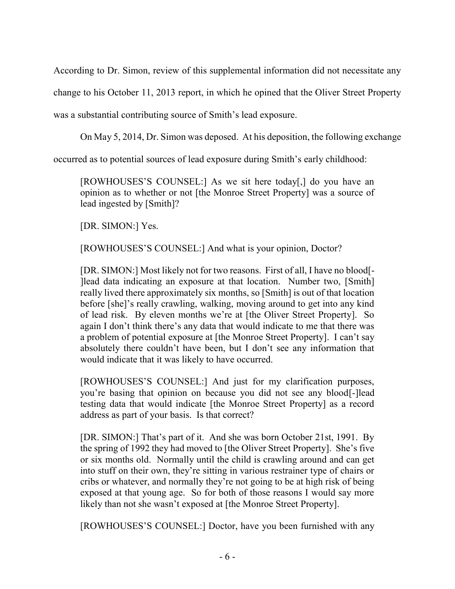According to Dr. Simon, review of this supplemental information did not necessitate any

change to his October 11, 2013 report, in which he opined that the Oliver Street Property

was a substantial contributing source of Smith's lead exposure.

On May 5, 2014, Dr. Simon was deposed. At his deposition, the following exchange

occurred as to potential sources of lead exposure during Smith's early childhood:

[ROWHOUSES'S COUNSEL:] As we sit here today[,] do you have an opinion as to whether or not [the Monroe Street Property] was a source of lead ingested by [Smith]?

[DR. SIMON:] Yes.

[ROWHOUSES'S COUNSEL:] And what is your opinion, Doctor?

[DR. SIMON:] Most likely not for two reasons. First of all, I have no blood[- ]lead data indicating an exposure at that location. Number two, [Smith] really lived there approximately six months, so [Smith] is out of that location before [she]'s really crawling, walking, moving around to get into any kind of lead risk. By eleven months we're at [the Oliver Street Property]. So again I don't think there's any data that would indicate to me that there was a problem of potential exposure at [the Monroe Street Property]. I can't say absolutely there couldn't have been, but I don't see any information that would indicate that it was likely to have occurred.

[ROWHOUSES'S COUNSEL:] And just for my clarification purposes, you're basing that opinion on because you did not see any blood[-]lead testing data that would indicate [the Monroe Street Property] as a record address as part of your basis. Is that correct?

[DR. SIMON:] That's part of it. And she was born October 21st, 1991. By the spring of 1992 they had moved to [the Oliver Street Property]. She's five or six months old. Normally until the child is crawling around and can get into stuff on their own, they're sitting in various restrainer type of chairs or cribs or whatever, and normally they're not going to be at high risk of being exposed at that young age. So for both of those reasons I would say more likely than not she wasn't exposed at [the Monroe Street Property].

[ROWHOUSES'S COUNSEL:] Doctor, have you been furnished with any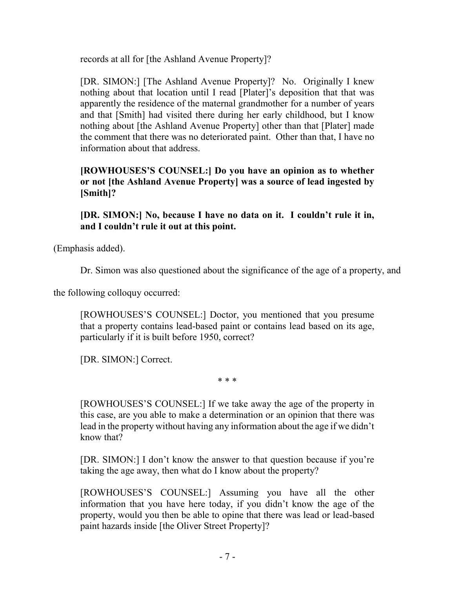records at all for [the Ashland Avenue Property]?

[DR. SIMON:] [The Ashland Avenue Property]? No. Originally I knew nothing about that location until I read [Plater]'s deposition that that was apparently the residence of the maternal grandmother for a number of years and that [Smith] had visited there during her early childhood, but I know nothing about [the Ashland Avenue Property] other than that [Plater] made the comment that there was no deteriorated paint. Other than that, I have no information about that address.

**[ROWHOUSES'S COUNSEL:] Do you have an opinion as to whether or not [the Ashland Avenue Property] was a source of lead ingested by [Smith]?** 

**[DR. SIMON:] No, because I have no data on it. I couldn't rule it in, and I couldn't rule it out at this point.** 

(Emphasis added).

Dr. Simon was also questioned about the significance of the age of a property, and

the following colloquy occurred:

[ROWHOUSES'S COUNSEL:] Doctor, you mentioned that you presume that a property contains lead-based paint or contains lead based on its age, particularly if it is built before 1950, correct?

[DR. SIMON:] Correct.

\* \* \*

[ROWHOUSES'S COUNSEL:] If we take away the age of the property in this case, are you able to make a determination or an opinion that there was lead in the property without having any information about the age if we didn't know that?

[DR. SIMON:] I don't know the answer to that question because if you're taking the age away, then what do I know about the property?

[ROWHOUSES'S COUNSEL:] Assuming you have all the other information that you have here today, if you didn't know the age of the property, would you then be able to opine that there was lead or lead-based paint hazards inside [the Oliver Street Property]?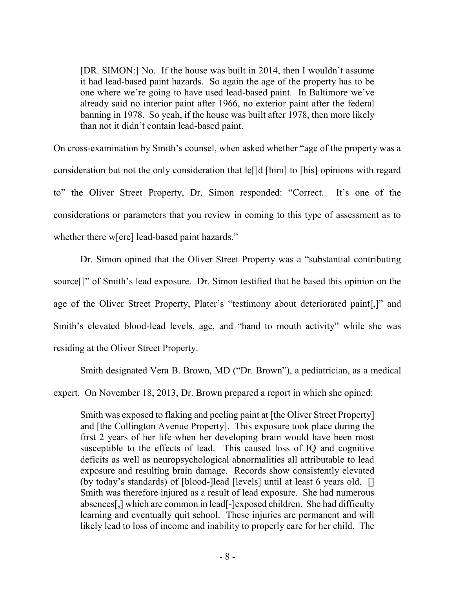[DR. SIMON:] No. If the house was built in 2014, then I wouldn't assume it had lead-based paint hazards. So again the age of the property has to be one where we're going to have used lead-based paint. In Baltimore we've already said no interior paint after 1966, no exterior paint after the federal banning in 1978. So yeah, if the house was built after 1978, then more likely than not it didn't contain lead-based paint.

On cross-examination by Smith's counsel, when asked whether "age of the property was a consideration but not the only consideration that le[]d [him] to [his] opinions with regard to" the Oliver Street Property, Dr. Simon responded: "Correct. It's one of the considerations or parameters that you review in coming to this type of assessment as to whether there w[ere] lead-based paint hazards."

Dr. Simon opined that the Oliver Street Property was a "substantial contributing source[]" of Smith's lead exposure. Dr. Simon testified that he based this opinion on the age of the Oliver Street Property, Plater's "testimony about deteriorated paint[,]" and Smith's elevated blood-lead levels, age, and "hand to mouth activity" while she was residing at the Oliver Street Property.

Smith designated Vera B. Brown, MD ("Dr. Brown"), a pediatrician, as a medical

expert. On November 18, 2013, Dr. Brown prepared a report in which she opined:

Smith was exposed to flaking and peeling paint at [the Oliver Street Property] and [the Collington Avenue Property]. This exposure took place during the first 2 years of her life when her developing brain would have been most susceptible to the effects of lead. This caused loss of IQ and cognitive deficits as well as neuropsychological abnormalities all attributable to lead exposure and resulting brain damage. Records show consistently elevated (by today's standards) of [blood-]lead [levels] until at least 6 years old. [] Smith was therefore injured as a result of lead exposure. She had numerous absences[,] which are common in lead[-]exposed children. She had difficulty learning and eventually quit school. These injuries are permanent and will likely lead to loss of income and inability to properly care for her child. The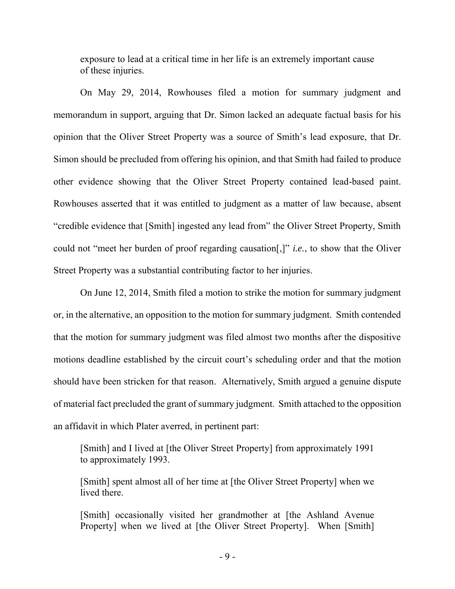exposure to lead at a critical time in her life is an extremely important cause of these injuries.

 On May 29, 2014, Rowhouses filed a motion for summary judgment and memorandum in support, arguing that Dr. Simon lacked an adequate factual basis for his opinion that the Oliver Street Property was a source of Smith's lead exposure, that Dr. Simon should be precluded from offering his opinion, and that Smith had failed to produce other evidence showing that the Oliver Street Property contained lead-based paint. Rowhouses asserted that it was entitled to judgment as a matter of law because, absent "credible evidence that [Smith] ingested any lead from" the Oliver Street Property, Smith could not "meet her burden of proof regarding causation[,]" *i.e.*, to show that the Oliver Street Property was a substantial contributing factor to her injuries.

On June 12, 2014, Smith filed a motion to strike the motion for summary judgment or, in the alternative, an opposition to the motion for summary judgment. Smith contended that the motion for summary judgment was filed almost two months after the dispositive motions deadline established by the circuit court's scheduling order and that the motion should have been stricken for that reason. Alternatively, Smith argued a genuine dispute of material fact precluded the grant of summary judgment. Smith attached to the opposition an affidavit in which Plater averred, in pertinent part:

[Smith] and I lived at [the Oliver Street Property] from approximately 1991 to approximately 1993.

[Smith] spent almost all of her time at [the Oliver Street Property] when we lived there.

[Smith] occasionally visited her grandmother at [the Ashland Avenue Property] when we lived at [the Oliver Street Property]. When [Smith]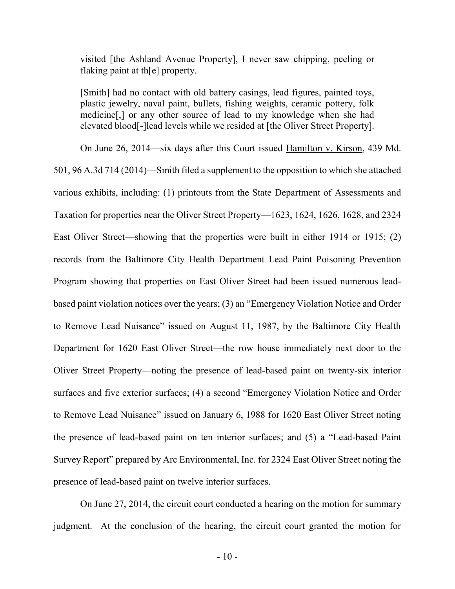visited [the Ashland Avenue Property], I never saw chipping, peeling or flaking paint at th[e] property.

[Smith] had no contact with old battery casings, lead figures, painted toys, plastic jewelry, naval paint, bullets, fishing weights, ceramic pottery, folk medicine[,] or any other source of lead to my knowledge when she had elevated blood[-]lead levels while we resided at [the Oliver Street Property].

On June 26, 2014—six days after this Court issued Hamilton v. Kirson, 439 Md. 501, 96 A.3d 714 (2014)—Smith filed a supplement to the opposition to which she attached various exhibits, including: (1) printouts from the State Department of Assessments and Taxation for properties near the Oliver Street Property—1623, 1624, 1626, 1628, and 2324 East Oliver Street—showing that the properties were built in either 1914 or 1915; (2) records from the Baltimore City Health Department Lead Paint Poisoning Prevention Program showing that properties on East Oliver Street had been issued numerous leadbased paint violation notices over the years; (3) an "Emergency Violation Notice and Order to Remove Lead Nuisance" issued on August 11, 1987, by the Baltimore City Health Department for 1620 East Oliver Street—the row house immediately next door to the Oliver Street Property—noting the presence of lead-based paint on twenty-six interior surfaces and five exterior surfaces; (4) a second "Emergency Violation Notice and Order to Remove Lead Nuisance" issued on January 6, 1988 for 1620 East Oliver Street noting the presence of lead-based paint on ten interior surfaces; and (5) a "Lead-based Paint Survey Report" prepared by Arc Environmental, Inc. for 2324 East Oliver Street noting the presence of lead-based paint on twelve interior surfaces.

On June 27, 2014, the circuit court conducted a hearing on the motion for summary judgment. At the conclusion of the hearing, the circuit court granted the motion for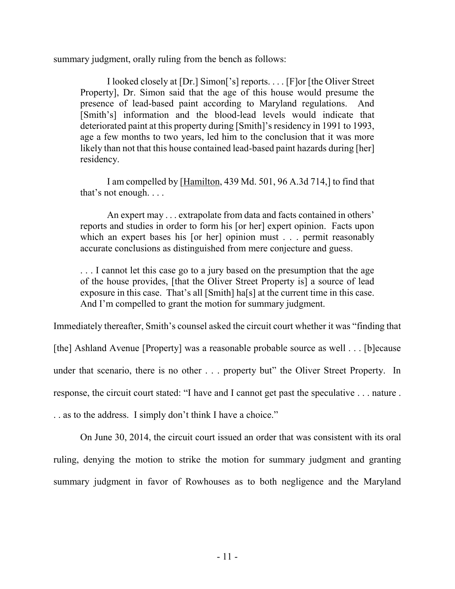summary judgment, orally ruling from the bench as follows:

 I looked closely at [Dr.] Simon['s] reports. . . . [F]or [the Oliver Street Property], Dr. Simon said that the age of this house would presume the presence of lead-based paint according to Maryland regulations. And [Smith's] information and the blood-lead levels would indicate that deteriorated paint at this property during [Smith]'s residency in 1991 to 1993, age a few months to two years, led him to the conclusion that it was more likely than not that this house contained lead-based paint hazards during [her] residency.

 I am compelled by [Hamilton, 439 Md. 501, 96 A.3d 714,] to find that that's not enough. . . .

 An expert may . . . extrapolate from data and facts contained in others' reports and studies in order to form his [or her] expert opinion. Facts upon which an expert bases his [or her] opinion must . . . permit reasonably accurate conclusions as distinguished from mere conjecture and guess.

. . . I cannot let this case go to a jury based on the presumption that the age of the house provides, [that the Oliver Street Property is] a source of lead exposure in this case. That's all [Smith] ha[s] at the current time in this case. And I'm compelled to grant the motion for summary judgment.

Immediately thereafter, Smith's counsel asked the circuit court whether it was "finding that

[the] Ashland Avenue [Property] was a reasonable probable source as well . . . [b]ecause under that scenario, there is no other . . . property but" the Oliver Street Property. In response, the circuit court stated: "I have and I cannot get past the speculative . . . nature . . . as to the address. I simply don't think I have a choice."

On June 30, 2014, the circuit court issued an order that was consistent with its oral ruling, denying the motion to strike the motion for summary judgment and granting summary judgment in favor of Rowhouses as to both negligence and the Maryland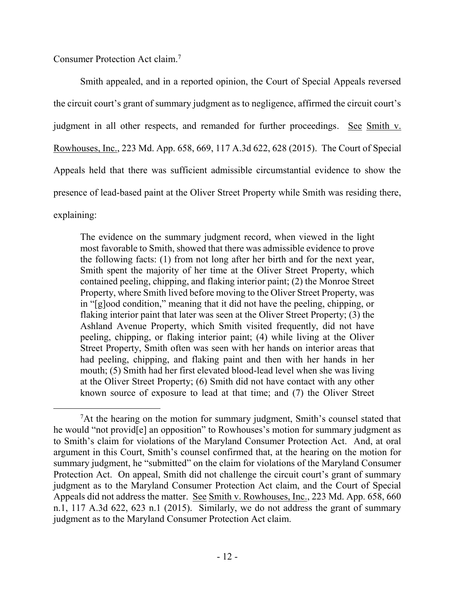Consumer Protection Act claim.<sup>7</sup>

 $\overline{a}$ 

 Smith appealed, and in a reported opinion, the Court of Special Appeals reversed the circuit court's grant of summary judgment as to negligence, affirmed the circuit court's judgment in all other respects, and remanded for further proceedings. See Smith v. Rowhouses, Inc., 223 Md. App. 658, 669, 117 A.3d 622, 628 (2015). The Court of Special Appeals held that there was sufficient admissible circumstantial evidence to show the presence of lead-based paint at the Oliver Street Property while Smith was residing there, explaining:

The evidence on the summary judgment record, when viewed in the light most favorable to Smith, showed that there was admissible evidence to prove the following facts: (1) from not long after her birth and for the next year, Smith spent the majority of her time at the Oliver Street Property, which contained peeling, chipping, and flaking interior paint; (2) the Monroe Street Property, where Smith lived before moving to the Oliver Street Property, was in "[g]ood condition," meaning that it did not have the peeling, chipping, or flaking interior paint that later was seen at the Oliver Street Property; (3) the Ashland Avenue Property, which Smith visited frequently, did not have peeling, chipping, or flaking interior paint; (4) while living at the Oliver Street Property, Smith often was seen with her hands on interior areas that had peeling, chipping, and flaking paint and then with her hands in her mouth; (5) Smith had her first elevated blood-lead level when she was living at the Oliver Street Property; (6) Smith did not have contact with any other known source of exposure to lead at that time; and (7) the Oliver Street

<sup>&</sup>lt;sup>7</sup>At the hearing on the motion for summary judgment, Smith's counsel stated that he would "not provid[e] an opposition" to Rowhouses's motion for summary judgment as to Smith's claim for violations of the Maryland Consumer Protection Act. And, at oral argument in this Court, Smith's counsel confirmed that, at the hearing on the motion for summary judgment, he "submitted" on the claim for violations of the Maryland Consumer Protection Act. On appeal, Smith did not challenge the circuit court's grant of summary judgment as to the Maryland Consumer Protection Act claim, and the Court of Special Appeals did not address the matter. See Smith v. Rowhouses, Inc., 223 Md. App. 658, 660 n.1, 117 A.3d 622, 623 n.1 (2015). Similarly, we do not address the grant of summary judgment as to the Maryland Consumer Protection Act claim.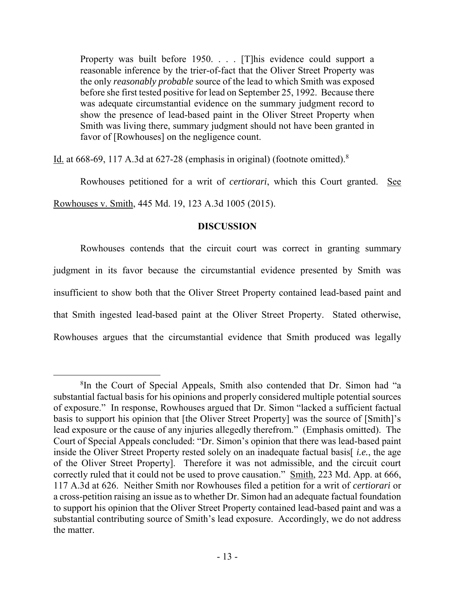Property was built before 1950. . . . [T] his evidence could support a reasonable inference by the trier-of-fact that the Oliver Street Property was the only *reasonably probable* source of the lead to which Smith was exposed before she first tested positive for lead on September 25, 1992. Because there was adequate circumstantial evidence on the summary judgment record to show the presence of lead-based paint in the Oliver Street Property when Smith was living there, summary judgment should not have been granted in favor of [Rowhouses] on the negligence count.

Id. at 668-69, 117 A.3d at 627-28 (emphasis in original) (footnote omitted).<sup>8</sup>

 $\overline{a}$ 

Rowhouses petitioned for a writ of *certiorari*, which this Court granted. See Rowhouses v. Smith, 445 Md. 19, 123 A.3d 1005 (2015).

## **DISCUSSION**

Rowhouses contends that the circuit court was correct in granting summary judgment in its favor because the circumstantial evidence presented by Smith was insufficient to show both that the Oliver Street Property contained lead-based paint and that Smith ingested lead-based paint at the Oliver Street Property. Stated otherwise, Rowhouses argues that the circumstantial evidence that Smith produced was legally

<sup>8</sup> In the Court of Special Appeals, Smith also contended that Dr. Simon had "a substantial factual basis for his opinions and properly considered multiple potential sources of exposure." In response, Rowhouses argued that Dr. Simon "lacked a sufficient factual basis to support his opinion that [the Oliver Street Property] was the source of [Smith]'s lead exposure or the cause of any injuries allegedly therefrom." (Emphasis omitted). The Court of Special Appeals concluded: "Dr. Simon's opinion that there was lead-based paint inside the Oliver Street Property rested solely on an inadequate factual basis[ *i.e.*, the age of the Oliver Street Property]. Therefore it was not admissible, and the circuit court correctly ruled that it could not be used to prove causation." Smith, 223 Md. App. at 666, 117 A.3d at 626. Neither Smith nor Rowhouses filed a petition for a writ of *certiorari* or a cross-petition raising an issue as to whether Dr. Simon had an adequate factual foundation to support his opinion that the Oliver Street Property contained lead-based paint and was a substantial contributing source of Smith's lead exposure. Accordingly, we do not address the matter.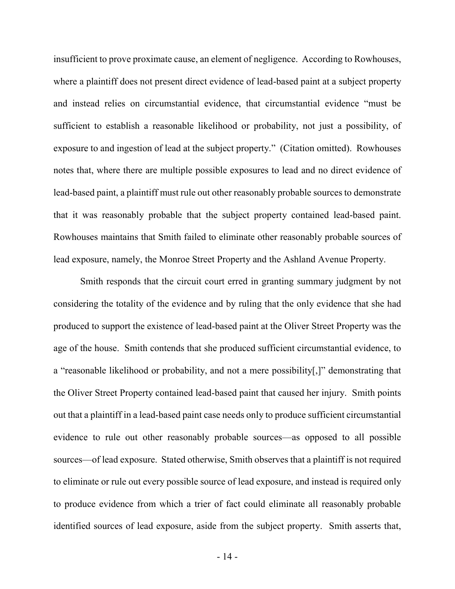insufficient to prove proximate cause, an element of negligence. According to Rowhouses, where a plaintiff does not present direct evidence of lead-based paint at a subject property and instead relies on circumstantial evidence, that circumstantial evidence "must be sufficient to establish a reasonable likelihood or probability, not just a possibility, of exposure to and ingestion of lead at the subject property." (Citation omitted). Rowhouses notes that, where there are multiple possible exposures to lead and no direct evidence of lead-based paint, a plaintiff must rule out other reasonably probable sources to demonstrate that it was reasonably probable that the subject property contained lead-based paint. Rowhouses maintains that Smith failed to eliminate other reasonably probable sources of lead exposure, namely, the Monroe Street Property and the Ashland Avenue Property.

 Smith responds that the circuit court erred in granting summary judgment by not considering the totality of the evidence and by ruling that the only evidence that she had produced to support the existence of lead-based paint at the Oliver Street Property was the age of the house. Smith contends that she produced sufficient circumstantial evidence, to a "reasonable likelihood or probability, and not a mere possibility[,]" demonstrating that the Oliver Street Property contained lead-based paint that caused her injury. Smith points out that a plaintiff in a lead-based paint case needs only to produce sufficient circumstantial evidence to rule out other reasonably probable sources—as opposed to all possible sources—of lead exposure. Stated otherwise, Smith observes that a plaintiff is not required to eliminate or rule out every possible source of lead exposure, and instead is required only to produce evidence from which a trier of fact could eliminate all reasonably probable identified sources of lead exposure, aside from the subject property. Smith asserts that,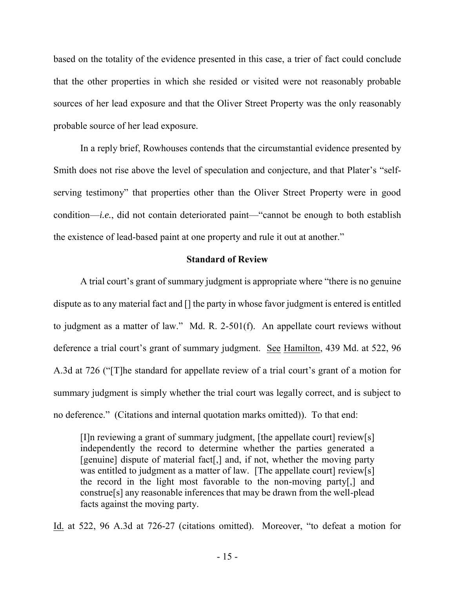based on the totality of the evidence presented in this case, a trier of fact could conclude that the other properties in which she resided or visited were not reasonably probable sources of her lead exposure and that the Oliver Street Property was the only reasonably probable source of her lead exposure.

 In a reply brief, Rowhouses contends that the circumstantial evidence presented by Smith does not rise above the level of speculation and conjecture, and that Plater's "selfserving testimony" that properties other than the Oliver Street Property were in good condition—*i.e.*, did not contain deteriorated paint—"cannot be enough to both establish the existence of lead-based paint at one property and rule it out at another."

### **Standard of Review**

 A trial court's grant of summary judgment is appropriate where "there is no genuine dispute as to any material fact and [] the party in whose favor judgment is entered is entitled to judgment as a matter of law." Md. R. 2-501(f). An appellate court reviews without deference a trial court's grant of summary judgment. See Hamilton, 439 Md. at 522, 96 A.3d at 726 ("[T]he standard for appellate review of a trial court's grant of a motion for summary judgment is simply whether the trial court was legally correct, and is subject to no deference." (Citations and internal quotation marks omitted)). To that end:

[I]n reviewing a grant of summary judgment, [the appellate court] review[s] independently the record to determine whether the parties generated a [genuine] dispute of material fact[,] and, if not, whether the moving party was entitled to judgment as a matter of law. [The appellate court] review[s] the record in the light most favorable to the non-moving party[,] and construe[s] any reasonable inferences that may be drawn from the well-plead facts against the moving party.

Id. at 522, 96 A.3d at 726-27 (citations omitted). Moreover, "to defeat a motion for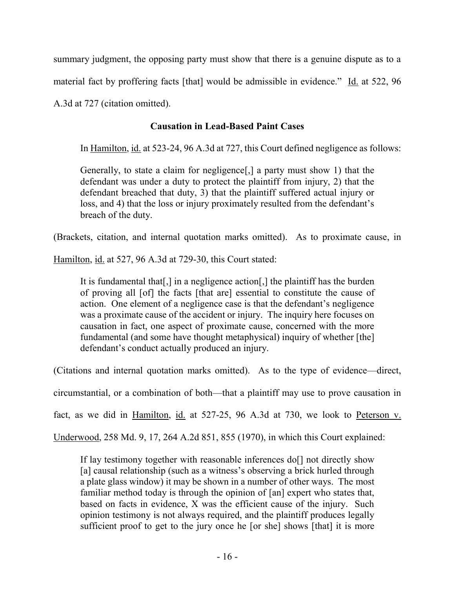summary judgment, the opposing party must show that there is a genuine dispute as to a material fact by proffering facts [that] would be admissible in evidence." Id. at 522, 96 A.3d at 727 (citation omitted).

# **Causation in Lead-Based Paint Cases**

In Hamilton, id. at 523-24, 96 A.3d at 727, this Court defined negligence as follows:

Generally, to state a claim for negligence[,] a party must show 1) that the defendant was under a duty to protect the plaintiff from injury, 2) that the defendant breached that duty, 3) that the plaintiff suffered actual injury or loss, and 4) that the loss or injury proximately resulted from the defendant's breach of the duty.

(Brackets, citation, and internal quotation marks omitted). As to proximate cause, in

Hamilton, id. at 527, 96 A.3d at 729-30, this Court stated:

It is fundamental that[,] in a negligence action[,] the plaintiff has the burden of proving all [of] the facts [that are] essential to constitute the cause of action. One element of a negligence case is that the defendant's negligence was a proximate cause of the accident or injury. The inquiry here focuses on causation in fact, one aspect of proximate cause, concerned with the more fundamental (and some have thought metaphysical) inquiry of whether [the] defendant's conduct actually produced an injury.

(Citations and internal quotation marks omitted). As to the type of evidence—direct,

circumstantial, or a combination of both—that a plaintiff may use to prove causation in

fact, as we did in Hamilton, id. at 527-25, 96 A.3d at 730, we look to Peterson v.

Underwood, 258 Md. 9, 17, 264 A.2d 851, 855 (1970), in which this Court explained:

If lay testimony together with reasonable inferences do<sup>[]</sup> not directly show [a] causal relationship (such as a witness's observing a brick hurled through a plate glass window) it may be shown in a number of other ways. The most familiar method today is through the opinion of [an] expert who states that, based on facts in evidence, X was the efficient cause of the injury. Such opinion testimony is not always required, and the plaintiff produces legally sufficient proof to get to the jury once he [or she] shows [that] it is more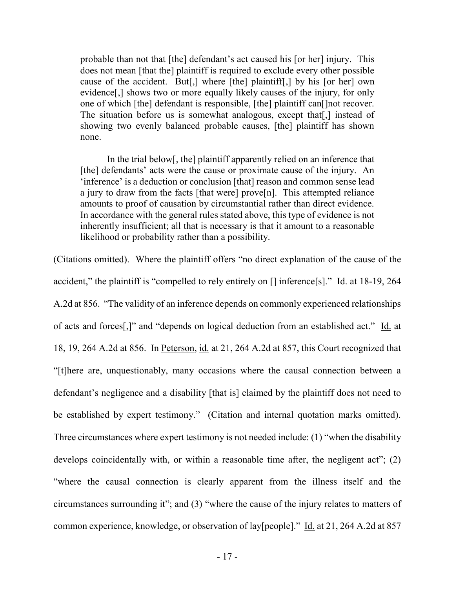probable than not that [the] defendant's act caused his [or her] injury. This does not mean [that the] plaintiff is required to exclude every other possible cause of the accident. But[,] where [the] plaintiff[,] by his [or her] own evidence[,] shows two or more equally likely causes of the injury, for only one of which [the] defendant is responsible, [the] plaintiff can[]not recover. The situation before us is somewhat analogous, except that. I instead of showing two evenly balanced probable causes, [the] plaintiff has shown none.

 In the trial below[, the] plaintiff apparently relied on an inference that [the] defendants' acts were the cause or proximate cause of the injury. An 'inference' is a deduction or conclusion [that] reason and common sense lead a jury to draw from the facts [that were] prove[n]. This attempted reliance amounts to proof of causation by circumstantial rather than direct evidence. In accordance with the general rules stated above, this type of evidence is not inherently insufficient; all that is necessary is that it amount to a reasonable likelihood or probability rather than a possibility.

(Citations omitted). Where the plaintiff offers "no direct explanation of the cause of the accident," the plaintiff is "compelled to rely entirely on [] inference[s]." Id. at 18-19, 264 A.2d at 856. "The validity of an inference depends on commonly experienced relationships of acts and forces[,]" and "depends on logical deduction from an established act." Id. at 18, 19, 264 A.2d at 856. In Peterson, id. at 21, 264 A.2d at 857, this Court recognized that "[t]here are, unquestionably, many occasions where the causal connection between a defendant's negligence and a disability [that is] claimed by the plaintiff does not need to be established by expert testimony." (Citation and internal quotation marks omitted). Three circumstances where expert testimony is not needed include: (1) "when the disability develops coincidentally with, or within a reasonable time after, the negligent act"; (2) "where the causal connection is clearly apparent from the illness itself and the circumstances surrounding it"; and (3) "where the cause of the injury relates to matters of common experience, knowledge, or observation of lay[people]." Id. at 21, 264 A.2d at 857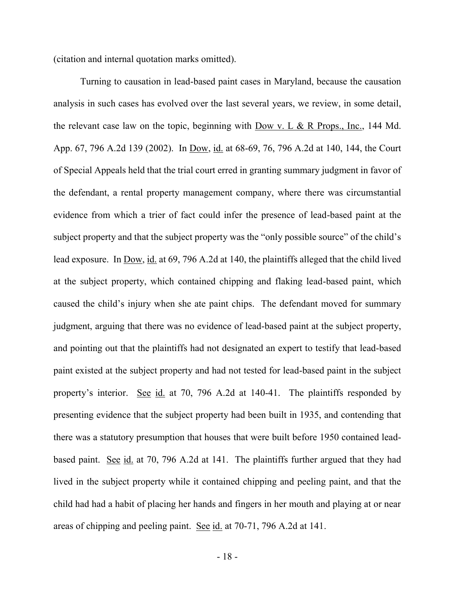(citation and internal quotation marks omitted).

Turning to causation in lead-based paint cases in Maryland, because the causation analysis in such cases has evolved over the last several years, we review, in some detail, the relevant case law on the topic, beginning with Dow v. L  $\&$  R Props., Inc., 144 Md. App. 67, 796 A.2d 139 (2002). In Dow, id. at 68-69, 76, 796 A.2d at 140, 144, the Court of Special Appeals held that the trial court erred in granting summary judgment in favor of the defendant, a rental property management company, where there was circumstantial evidence from which a trier of fact could infer the presence of lead-based paint at the subject property and that the subject property was the "only possible source" of the child's lead exposure. In Dow, id. at 69, 796 A.2d at 140, the plaintiffs alleged that the child lived at the subject property, which contained chipping and flaking lead-based paint, which caused the child's injury when she ate paint chips. The defendant moved for summary judgment, arguing that there was no evidence of lead-based paint at the subject property, and pointing out that the plaintiffs had not designated an expert to testify that lead-based paint existed at the subject property and had not tested for lead-based paint in the subject property's interior. See id. at 70, 796 A.2d at 140-41. The plaintiffs responded by presenting evidence that the subject property had been built in 1935, and contending that there was a statutory presumption that houses that were built before 1950 contained leadbased paint. See id. at 70, 796 A.2d at 141. The plaintiffs further argued that they had lived in the subject property while it contained chipping and peeling paint, and that the child had had a habit of placing her hands and fingers in her mouth and playing at or near areas of chipping and peeling paint. See id. at 70-71, 796 A.2d at 141.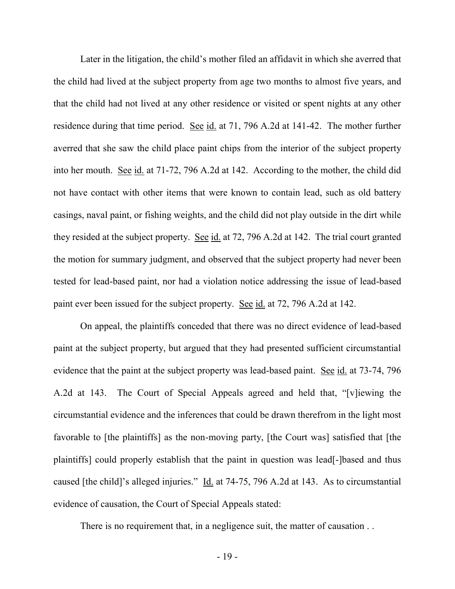Later in the litigation, the child's mother filed an affidavit in which she averred that the child had lived at the subject property from age two months to almost five years, and that the child had not lived at any other residence or visited or spent nights at any other residence during that time period. See id. at 71, 796 A.2d at 141-42. The mother further averred that she saw the child place paint chips from the interior of the subject property into her mouth. See id. at 71-72, 796 A.2d at 142. According to the mother, the child did not have contact with other items that were known to contain lead, such as old battery casings, naval paint, or fishing weights, and the child did not play outside in the dirt while they resided at the subject property. See id. at 72, 796 A.2d at 142. The trial court granted the motion for summary judgment, and observed that the subject property had never been tested for lead-based paint, nor had a violation notice addressing the issue of lead-based paint ever been issued for the subject property. See id. at 72, 796 A.2d at 142.

 On appeal, the plaintiffs conceded that there was no direct evidence of lead-based paint at the subject property, but argued that they had presented sufficient circumstantial evidence that the paint at the subject property was lead-based paint. See id. at 73-74, 796 A.2d at 143. The Court of Special Appeals agreed and held that, "[v]iewing the circumstantial evidence and the inferences that could be drawn therefrom in the light most favorable to [the plaintiffs] as the non-moving party, [the Court was] satisfied that [the plaintiffs] could properly establish that the paint in question was lead[-]based and thus caused [the child]'s alleged injuries." Id. at 74-75, 796 A.2d at 143. As to circumstantial evidence of causation, the Court of Special Appeals stated:

There is no requirement that, in a negligence suit, the matter of causation . .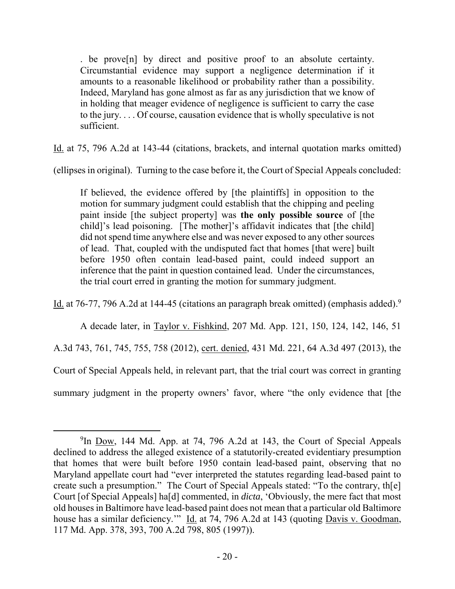. be prove[n] by direct and positive proof to an absolute certainty. Circumstantial evidence may support a negligence determination if it amounts to a reasonable likelihood or probability rather than a possibility. Indeed, Maryland has gone almost as far as any jurisdiction that we know of in holding that meager evidence of negligence is sufficient to carry the case to the jury. . . . Of course, causation evidence that is wholly speculative is not sufficient.

Id. at 75, 796 A.2d at 143-44 (citations, brackets, and internal quotation marks omitted)

(ellipses in original). Turning to the case before it, the Court of Special Appeals concluded:

If believed, the evidence offered by [the plaintiffs] in opposition to the motion for summary judgment could establish that the chipping and peeling paint inside [the subject property] was **the only possible source** of [the child]'s lead poisoning. [The mother]'s affidavit indicates that [the child] did not spend time anywhere else and was never exposed to any other sources of lead. That, coupled with the undisputed fact that homes [that were] built before 1950 often contain lead-based paint, could indeed support an inference that the paint in question contained lead. Under the circumstances, the trial court erred in granting the motion for summary judgment.

Id. at 76-77, 796 A.2d at 144-45 (citations an paragraph break omitted) (emphasis added).<sup>9</sup>

 A decade later, in Taylor v. Fishkind, 207 Md. App. 121, 150, 124, 142, 146, 51 A.3d 743, 761, 745, 755, 758 (2012), cert. denied, 431 Md. 221, 64 A.3d 497 (2013), the Court of Special Appeals held, in relevant part, that the trial court was correct in granting summary judgment in the property owners' favor, where "the only evidence that [the

<sup>&</sup>lt;sup>9</sup>In <u>Dow</u>, 144 Md. App. at 74, 796 A.2d at 143, the Court of Special Appeals declined to address the alleged existence of a statutorily-created evidentiary presumption that homes that were built before 1950 contain lead-based paint, observing that no Maryland appellate court had "ever interpreted the statutes regarding lead-based paint to create such a presumption." The Court of Special Appeals stated: "To the contrary, th[e] Court [of Special Appeals] ha[d] commented, in *dicta*, 'Obviously, the mere fact that most old houses in Baltimore have lead-based paint does not mean that a particular old Baltimore house has a similar deficiency." Id. at 74, 796 A.2d at 143 (quoting Davis v. Goodman, 117 Md. App. 378, 393, 700 A.2d 798, 805 (1997)).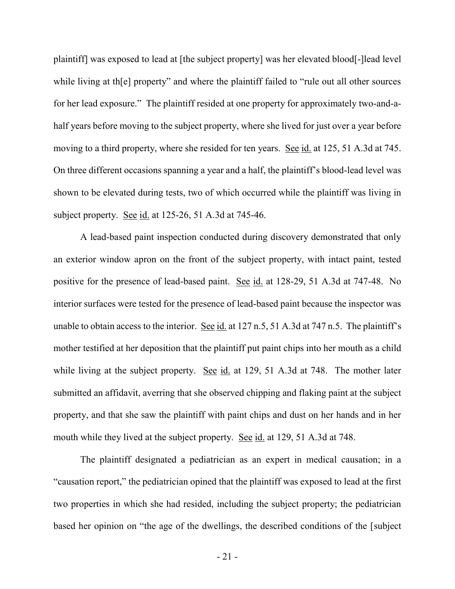plaintiff] was exposed to lead at [the subject property] was her elevated blood[-]lead level while living at the property" and where the plaintiff failed to "rule out all other sources" for her lead exposure." The plaintiff resided at one property for approximately two-and-ahalf years before moving to the subject property, where she lived for just over a year before moving to a third property, where she resided for ten years. See id. at 125, 51 A.3d at 745. On three different occasions spanning a year and a half, the plaintiff's blood-lead level was shown to be elevated during tests, two of which occurred while the plaintiff was living in subject property. See id. at 125-26, 51 A.3d at 745-46.

 A lead-based paint inspection conducted during discovery demonstrated that only an exterior window apron on the front of the subject property, with intact paint, tested positive for the presence of lead-based paint. See id. at 128-29, 51 A.3d at 747-48. No interior surfaces were tested for the presence of lead-based paint because the inspector was unable to obtain access to the interior. See id. at 127 n.5, 51 A.3d at 747 n.5. The plaintiff's mother testified at her deposition that the plaintiff put paint chips into her mouth as a child while living at the subject property. See id. at 129, 51 A.3d at 748. The mother later submitted an affidavit, averring that she observed chipping and flaking paint at the subject property, and that she saw the plaintiff with paint chips and dust on her hands and in her mouth while they lived at the subject property. See id. at 129, 51 A.3d at 748.

 The plaintiff designated a pediatrician as an expert in medical causation; in a "causation report," the pediatrician opined that the plaintiff was exposed to lead at the first two properties in which she had resided, including the subject property; the pediatrician based her opinion on "the age of the dwellings, the described conditions of the [subject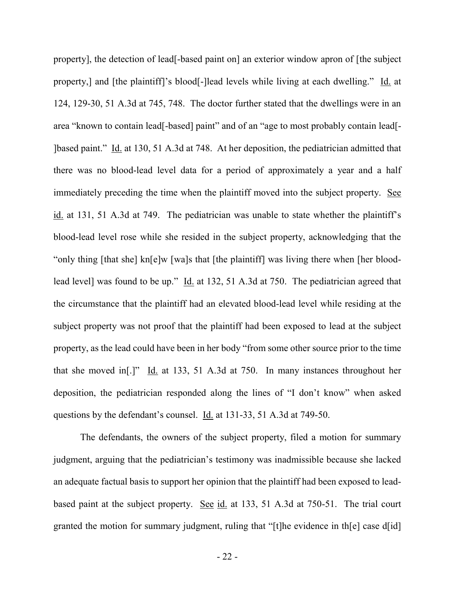property], the detection of lead[-based paint on] an exterior window apron of [the subject property,] and [the plaintiff]'s blood[-]lead levels while living at each dwelling." Id. at 124, 129-30, 51 A.3d at 745, 748. The doctor further stated that the dwellings were in an area "known to contain lead[-based] paint" and of an "age to most probably contain lead[- ]based paint." Id. at 130, 51 A.3d at 748. At her deposition, the pediatrician admitted that there was no blood-lead level data for a period of approximately a year and a half immediately preceding the time when the plaintiff moved into the subject property. See id. at 131, 51 A.3d at 749. The pediatrician was unable to state whether the plaintiff's blood-lead level rose while she resided in the subject property, acknowledging that the "only thing [that she] kn[e]w [wa]s that [the plaintiff] was living there when [her bloodlead level] was found to be up." Id. at 132, 51 A.3d at 750. The pediatrician agreed that the circumstance that the plaintiff had an elevated blood-lead level while residing at the subject property was not proof that the plaintiff had been exposed to lead at the subject property, as the lead could have been in her body "from some other source prior to the time that she moved in[.]" Id. at 133, 51 A.3d at 750. In many instances throughout her deposition, the pediatrician responded along the lines of "I don't know" when asked questions by the defendant's counsel. Id. at 131-33, 51 A.3d at 749-50.

 The defendants, the owners of the subject property, filed a motion for summary judgment, arguing that the pediatrician's testimony was inadmissible because she lacked an adequate factual basis to support her opinion that the plaintiff had been exposed to leadbased paint at the subject property. See id. at 133, 51 A.3d at 750-51. The trial court granted the motion for summary judgment, ruling that "[t]he evidence in th[e] case d[id]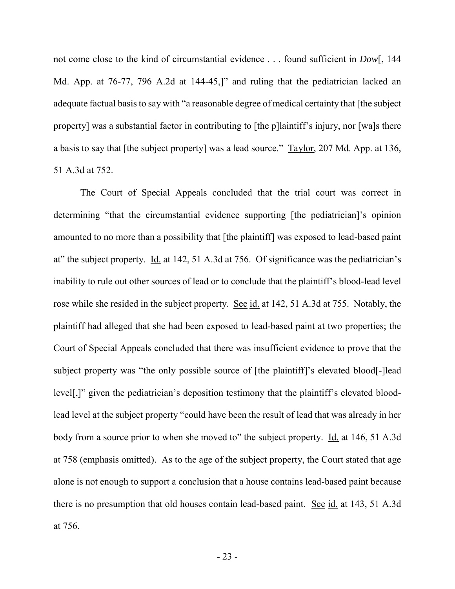not come close to the kind of circumstantial evidence . . . found sufficient in *Dow*[, 144 Md. App. at 76-77, 796 A.2d at 144-45,]" and ruling that the pediatrician lacked an adequate factual basis to say with "a reasonable degree of medical certainty that [the subject property] was a substantial factor in contributing to [the p]laintiff's injury, nor [wa]s there a basis to say that [the subject property] was a lead source." Taylor, 207 Md. App. at 136, 51 A.3d at 752.

 The Court of Special Appeals concluded that the trial court was correct in determining "that the circumstantial evidence supporting [the pediatrician]'s opinion amounted to no more than a possibility that [the plaintiff] was exposed to lead-based paint at" the subject property. Id. at 142, 51 A.3d at 756. Of significance was the pediatrician's inability to rule out other sources of lead or to conclude that the plaintiff's blood-lead level rose while she resided in the subject property. See id. at 142, 51 A.3d at 755. Notably, the plaintiff had alleged that she had been exposed to lead-based paint at two properties; the Court of Special Appeals concluded that there was insufficient evidence to prove that the subject property was "the only possible source of [the plaintiff]'s elevated blood[-]lead level[,]" given the pediatrician's deposition testimony that the plaintiff's elevated bloodlead level at the subject property "could have been the result of lead that was already in her body from a source prior to when she moved to" the subject property. Id. at 146, 51 A.3d at 758 (emphasis omitted). As to the age of the subject property, the Court stated that age alone is not enough to support a conclusion that a house contains lead-based paint because there is no presumption that old houses contain lead-based paint. See id. at 143, 51 A.3d at 756.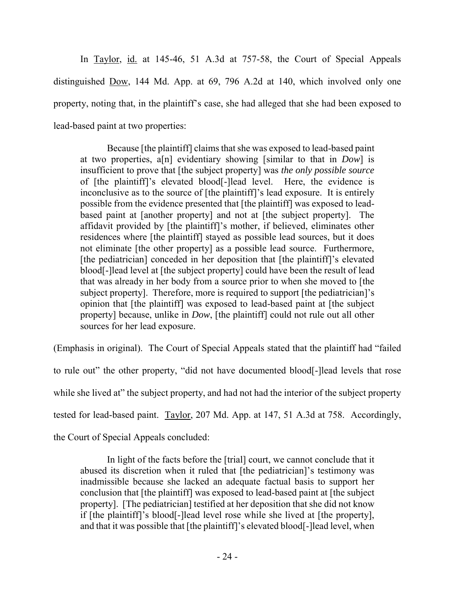In Taylor, id. at 145-46, 51 A.3d at 757-58, the Court of Special Appeals distinguished Dow, 144 Md. App. at 69, 796 A.2d at 140, which involved only one property, noting that, in the plaintiff's case, she had alleged that she had been exposed to lead-based paint at two properties:

 Because [the plaintiff] claims that she was exposed to lead-based paint at two properties, a[n] evidentiary showing [similar to that in *Dow*] is insufficient to prove that [the subject property] was *the only possible source* of [the plaintiff]'s elevated blood[-]lead level. Here, the evidence is inconclusive as to the source of [the plaintiff]'s lead exposure. It is entirely possible from the evidence presented that [the plaintiff] was exposed to leadbased paint at [another property] and not at [the subject property]. The affidavit provided by [the plaintiff]'s mother, if believed, eliminates other residences where [the plaintiff] stayed as possible lead sources, but it does not eliminate [the other property] as a possible lead source. Furthermore, [the pediatrician] conceded in her deposition that [the plaintiff]'s elevated blood[-]lead level at [the subject property] could have been the result of lead that was already in her body from a source prior to when she moved to [the subject property]. Therefore, more is required to support [the pediatrician]'s opinion that [the plaintiff] was exposed to lead-based paint at [the subject property] because, unlike in *Dow*, [the plaintiff] could not rule out all other sources for her lead exposure.

(Emphasis in original). The Court of Special Appeals stated that the plaintiff had "failed to rule out" the other property, "did not have documented blood[-]lead levels that rose while she lived at" the subject property, and had not had the interior of the subject property tested for lead-based paint. Taylor, 207 Md. App. at 147, 51 A.3d at 758. Accordingly, the Court of Special Appeals concluded:

In light of the facts before the [trial] court, we cannot conclude that it abused its discretion when it ruled that [the pediatrician]'s testimony was inadmissible because she lacked an adequate factual basis to support her conclusion that [the plaintiff] was exposed to lead-based paint at [the subject property]. [The pediatrician] testified at her deposition that she did not know if [the plaintiff]'s blood[-]lead level rose while she lived at [the property], and that it was possible that [the plaintiff]'s elevated blood[-]lead level, when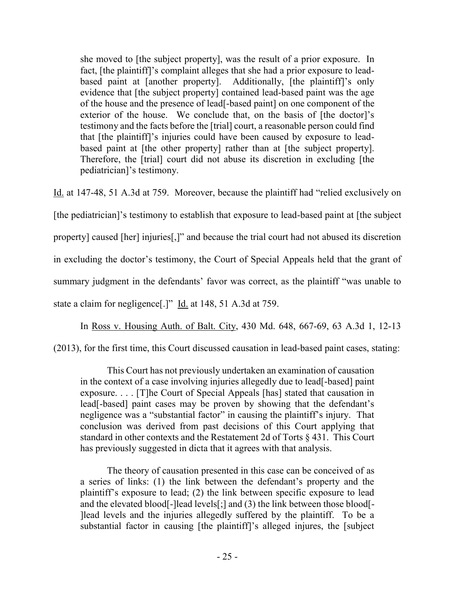she moved to [the subject property], was the result of a prior exposure. In fact, [the plaintiff]'s complaint alleges that she had a prior exposure to leadbased paint at [another property]. Additionally, [the plaintiff]'s only evidence that [the subject property] contained lead-based paint was the age of the house and the presence of lead[-based paint] on one component of the exterior of the house. We conclude that, on the basis of [the doctor]'s testimony and the facts before the [trial] court, a reasonable person could find that [the plaintiff]'s injuries could have been caused by exposure to leadbased paint at [the other property] rather than at [the subject property]. Therefore, the [trial] court did not abuse its discretion in excluding [the pediatrician]'s testimony.

Id. at 147-48, 51 A.3d at 759. Moreover, because the plaintiff had "relied exclusively on [the pediatrician]'s testimony to establish that exposure to lead-based paint at [the subject property] caused [her] injuries[,]" and because the trial court had not abused its discretion in excluding the doctor's testimony, the Court of Special Appeals held that the grant of summary judgment in the defendants' favor was correct, as the plaintiff "was unable to state a claim for negligence[.]" Id. at 148, 51 A.3d at 759.

In Ross v. Housing Auth. of Balt. City, 430 Md. 648, 667-69, 63 A.3d 1, 12-13

(2013), for the first time, this Court discussed causation in lead-based paint cases, stating:

 This Court has not previously undertaken an examination of causation in the context of a case involving injuries allegedly due to lead[-based] paint exposure. . . . [T]he Court of Special Appeals [has] stated that causation in lead[-based] paint cases may be proven by showing that the defendant's negligence was a "substantial factor" in causing the plaintiff's injury. That conclusion was derived from past decisions of this Court applying that standard in other contexts and the Restatement 2d of Torts § 431. This Court has previously suggested in dicta that it agrees with that analysis.

 The theory of causation presented in this case can be conceived of as a series of links: (1) the link between the defendant's property and the plaintiff's exposure to lead; (2) the link between specific exposure to lead and the elevated blood[-]lead levels[;] and (3) the link between those blood[- ]lead levels and the injuries allegedly suffered by the plaintiff. To be a substantial factor in causing [the plaintiff]'s alleged injures, the [subject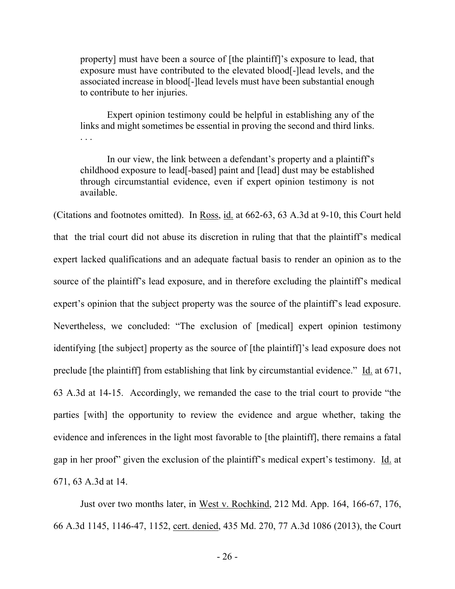property] must have been a source of [the plaintiff]'s exposure to lead, that exposure must have contributed to the elevated blood[-]lead levels, and the associated increase in blood[-]lead levels must have been substantial enough to contribute to her injuries.

 Expert opinion testimony could be helpful in establishing any of the links and might sometimes be essential in proving the second and third links. . . .

 In our view, the link between a defendant's property and a plaintiff's childhood exposure to lead[-based] paint and [lead] dust may be established through circumstantial evidence, even if expert opinion testimony is not available.

(Citations and footnotes omitted). In Ross, id. at 662-63, 63 A.3d at 9-10, this Court held that the trial court did not abuse its discretion in ruling that that the plaintiff's medical expert lacked qualifications and an adequate factual basis to render an opinion as to the source of the plaintiff's lead exposure, and in therefore excluding the plaintiff's medical expert's opinion that the subject property was the source of the plaintiff's lead exposure. Nevertheless, we concluded: "The exclusion of [medical] expert opinion testimony identifying [the subject] property as the source of [the plaintiff]'s lead exposure does not preclude [the plaintiff] from establishing that link by circumstantial evidence." Id. at 671, 63 A.3d at 14-15. Accordingly, we remanded the case to the trial court to provide "the parties [with] the opportunity to review the evidence and argue whether, taking the evidence and inferences in the light most favorable to [the plaintiff], there remains a fatal gap in her proof" given the exclusion of the plaintiff's medical expert's testimony. Id. at 671, 63 A.3d at 14.

Just over two months later, in West v. Rochkind, 212 Md. App. 164, 166-67, 176, 66 A.3d 1145, 1146-47, 1152, cert. denied, 435 Md. 270, 77 A.3d 1086 (2013), the Court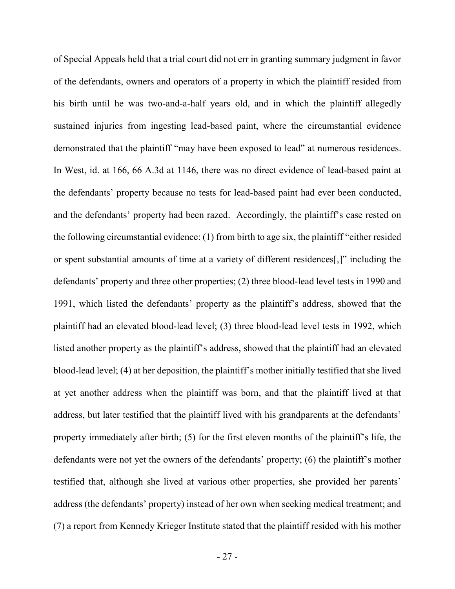of Special Appeals held that a trial court did not err in granting summary judgment in favor of the defendants, owners and operators of a property in which the plaintiff resided from his birth until he was two-and-a-half years old, and in which the plaintiff allegedly sustained injuries from ingesting lead-based paint, where the circumstantial evidence demonstrated that the plaintiff "may have been exposed to lead" at numerous residences. In West, id. at 166, 66 A.3d at 1146, there was no direct evidence of lead-based paint at the defendants' property because no tests for lead-based paint had ever been conducted, and the defendants' property had been razed. Accordingly, the plaintiff's case rested on the following circumstantial evidence: (1) from birth to age six, the plaintiff "either resided or spent substantial amounts of time at a variety of different residences[,]" including the defendants' property and three other properties; (2) three blood-lead level tests in 1990 and 1991, which listed the defendants' property as the plaintiff's address, showed that the plaintiff had an elevated blood-lead level; (3) three blood-lead level tests in 1992, which listed another property as the plaintiff's address, showed that the plaintiff had an elevated blood-lead level; (4) at her deposition, the plaintiff's mother initially testified that she lived at yet another address when the plaintiff was born, and that the plaintiff lived at that address, but later testified that the plaintiff lived with his grandparents at the defendants' property immediately after birth; (5) for the first eleven months of the plaintiff's life, the defendants were not yet the owners of the defendants' property; (6) the plaintiff's mother testified that, although she lived at various other properties, she provided her parents' address (the defendants' property) instead of her own when seeking medical treatment; and (7) a report from Kennedy Krieger Institute stated that the plaintiff resided with his mother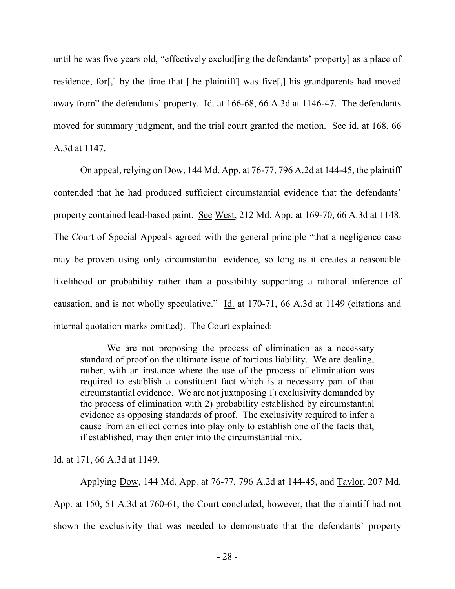until he was five years old, "effectively exclud[ing the defendants' property] as a place of residence, for[,] by the time that [the plaintiff] was five[,] his grandparents had moved away from" the defendants' property. Id. at 166-68, 66 A.3d at 1146-47. The defendants moved for summary judgment, and the trial court granted the motion. See id. at 168, 66 A.3d at 1147.

On appeal, relying on Dow, 144 Md. App. at 76-77, 796 A.2d at 144-45, the plaintiff contended that he had produced sufficient circumstantial evidence that the defendants' property contained lead-based paint. See West, 212 Md. App. at 169-70, 66 A.3d at 1148. The Court of Special Appeals agreed with the general principle "that a negligence case may be proven using only circumstantial evidence, so long as it creates a reasonable likelihood or probability rather than a possibility supporting a rational inference of causation, and is not wholly speculative." Id. at 170-71, 66 A.3d at 1149 (citations and internal quotation marks omitted). The Court explained:

We are not proposing the process of elimination as a necessary standard of proof on the ultimate issue of tortious liability. We are dealing, rather, with an instance where the use of the process of elimination was required to establish a constituent fact which is a necessary part of that circumstantial evidence. We are not juxtaposing 1) exclusivity demanded by the process of elimination with 2) probability established by circumstantial evidence as opposing standards of proof. The exclusivity required to infer a cause from an effect comes into play only to establish one of the facts that, if established, may then enter into the circumstantial mix.

Id. at 171, 66 A.3d at 1149.

 Applying Dow, 144 Md. App. at 76-77, 796 A.2d at 144-45, and Taylor, 207 Md. App. at 150, 51 A.3d at 760-61, the Court concluded, however, that the plaintiff had not shown the exclusivity that was needed to demonstrate that the defendants' property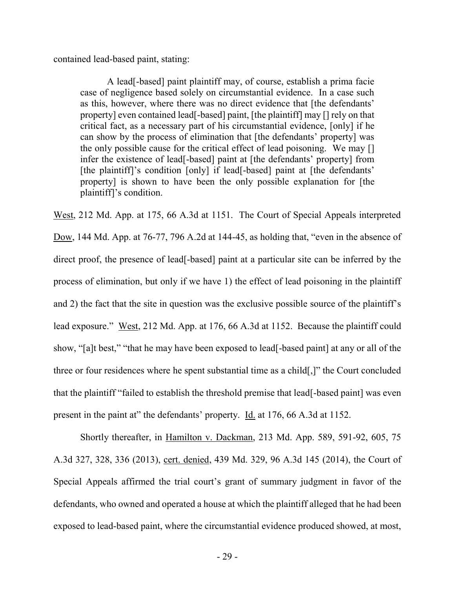contained lead-based paint, stating:

 A lead[-based] paint plaintiff may, of course, establish a prima facie case of negligence based solely on circumstantial evidence. In a case such as this, however, where there was no direct evidence that [the defendants' property] even contained lead[-based] paint, [the plaintiff] may [] rely on that critical fact, as a necessary part of his circumstantial evidence, [only] if he can show by the process of elimination that [the defendants' property] was the only possible cause for the critical effect of lead poisoning. We may [] infer the existence of lead[-based] paint at [the defendants' property] from [the plaintiff]'s condition [only] if lead[-based] paint at [the defendants' property] is shown to have been the only possible explanation for [the plaintiff]'s condition.

West, 212 Md. App. at 175, 66 A.3d at 1151. The Court of Special Appeals interpreted Dow, 144 Md. App. at 76-77, 796 A.2d at 144-45, as holding that, "even in the absence of direct proof, the presence of lead[-based] paint at a particular site can be inferred by the process of elimination, but only if we have 1) the effect of lead poisoning in the plaintiff and 2) the fact that the site in question was the exclusive possible source of the plaintiff's lead exposure." West, 212 Md. App. at 176, 66 A.3d at 1152. Because the plaintiff could show, "[a]t best," "that he may have been exposed to lead[-based paint] at any or all of the three or four residences where he spent substantial time as a child[,]" the Court concluded that the plaintiff "failed to establish the threshold premise that lead[-based paint] was even present in the paint at" the defendants' property. Id. at 176, 66 A.3d at 1152.

Shortly thereafter, in Hamilton v. Dackman, 213 Md. App. 589, 591-92, 605, 75 A.3d 327, 328, 336 (2013), cert. denied, 439 Md. 329, 96 A.3d 145 (2014), the Court of Special Appeals affirmed the trial court's grant of summary judgment in favor of the defendants, who owned and operated a house at which the plaintiff alleged that he had been exposed to lead-based paint, where the circumstantial evidence produced showed, at most,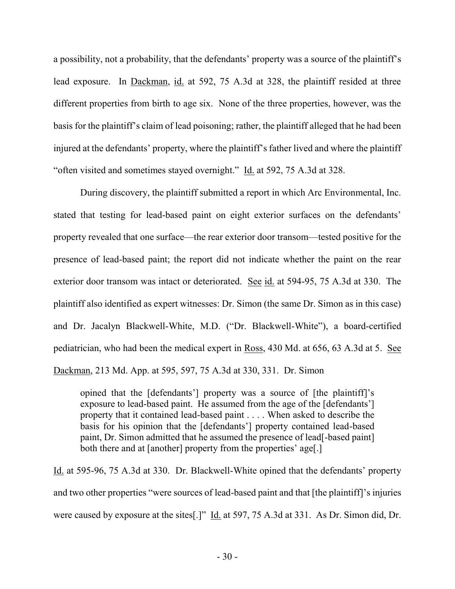a possibility, not a probability, that the defendants' property was a source of the plaintiff's lead exposure. In Dackman, id. at 592, 75 A.3d at 328, the plaintiff resided at three different properties from birth to age six. None of the three properties, however, was the basis for the plaintiff's claim of lead poisoning; rather, the plaintiff alleged that he had been injured at the defendants' property, where the plaintiff's father lived and where the plaintiff "often visited and sometimes stayed overnight." Id. at 592, 75 A.3d at 328.

During discovery, the plaintiff submitted a report in which Arc Environmental, Inc. stated that testing for lead-based paint on eight exterior surfaces on the defendants' property revealed that one surface—the rear exterior door transom—tested positive for the presence of lead-based paint; the report did not indicate whether the paint on the rear exterior door transom was intact or deteriorated. See id. at 594-95, 75 A.3d at 330. The plaintiff also identified as expert witnesses: Dr. Simon (the same Dr. Simon as in this case) and Dr. Jacalyn Blackwell-White, M.D. ("Dr. Blackwell-White"), a board-certified pediatrician, who had been the medical expert in Ross, 430 Md. at 656, 63 A.3d at 5. See Dackman, 213 Md. App. at 595, 597, 75 A.3d at 330, 331. Dr. Simon

opined that the [defendants'] property was a source of [the plaintiff]'s exposure to lead-based paint. He assumed from the age of the [defendants'] property that it contained lead-based paint . . . . When asked to describe the basis for his opinion that the [defendants'] property contained lead-based paint, Dr. Simon admitted that he assumed the presence of lead[-based paint] both there and at [another] property from the properties' age[.]

Id. at 595-96, 75 A.3d at 330. Dr. Blackwell-White opined that the defendants' property and two other properties "were sources of lead-based paint and that [the plaintiff]'s injuries were caused by exposure at the sites[.]" Id. at 597, 75 A.3d at 331. As Dr. Simon did, Dr.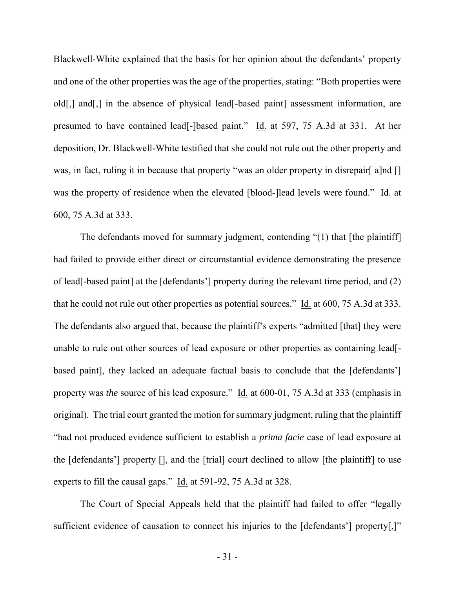Blackwell-White explained that the basis for her opinion about the defendants' property and one of the other properties was the age of the properties, stating: "Both properties were old[,] and[,] in the absence of physical lead[-based paint] assessment information, are presumed to have contained lead[-]based paint." Id. at 597, 75 A.3d at 331. At her deposition, Dr. Blackwell-White testified that she could not rule out the other property and was, in fact, ruling it in because that property "was an older property in disrepair [a]nd [] was the property of residence when the elevated [blood-]lead levels were found." Id. at 600, 75 A.3d at 333.

 The defendants moved for summary judgment, contending "(1) that [the plaintiff] had failed to provide either direct or circumstantial evidence demonstrating the presence of lead[-based paint] at the [defendants'] property during the relevant time period, and (2) that he could not rule out other properties as potential sources." Id. at 600, 75 A.3d at 333. The defendants also argued that, because the plaintiff's experts "admitted [that] they were unable to rule out other sources of lead exposure or other properties as containing lead[ based paint], they lacked an adequate factual basis to conclude that the [defendants'] property was *the* source of his lead exposure." Id. at 600-01, 75 A.3d at 333 (emphasis in original). The trial court granted the motion for summary judgment, ruling that the plaintiff "had not produced evidence sufficient to establish a *prima facie* case of lead exposure at the [defendants'] property [], and the [trial] court declined to allow [the plaintiff] to use experts to fill the causal gaps." Id. at 591-92, 75 A.3d at 328.

The Court of Special Appeals held that the plaintiff had failed to offer "legally sufficient evidence of causation to connect his injuries to the [defendants'] property[,]"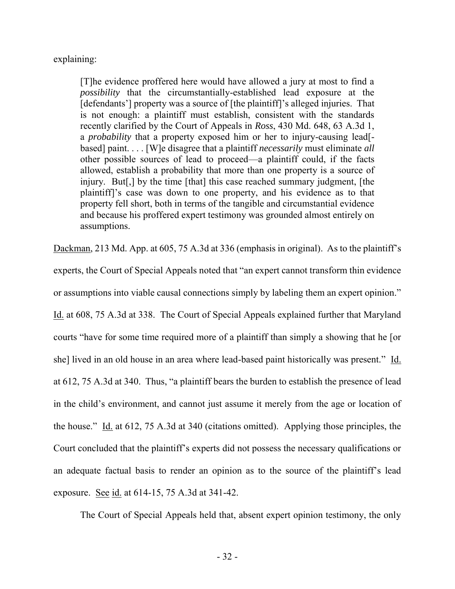explaining:

[T]he evidence proffered here would have allowed a jury at most to find a *possibility* that the circumstantially-established lead exposure at the [defendants'] property was a source of [the plaintiff]'s alleged injuries. That is not enough: a plaintiff must establish, consistent with the standards recently clarified by the Court of Appeals in *Ross*, 430 Md. 648, 63 A.3d 1, a *probability* that a property exposed him or her to injury-causing lead[ based] paint. . . . [W]e disagree that a plaintiff *necessarily* must eliminate *all* other possible sources of lead to proceed—a plaintiff could, if the facts allowed, establish a probability that more than one property is a source of injury. But[,] by the time [that] this case reached summary judgment, [the plaintiff]'s case was down to one property, and his evidence as to that property fell short, both in terms of the tangible and circumstantial evidence and because his proffered expert testimony was grounded almost entirely on assumptions.

Dackman, 213 Md. App. at 605, 75 A.3d at 336 (emphasis in original). As to the plaintiff's experts, the Court of Special Appeals noted that "an expert cannot transform thin evidence or assumptions into viable causal connections simply by labeling them an expert opinion." Id. at 608, 75 A.3d at 338. The Court of Special Appeals explained further that Maryland courts "have for some time required more of a plaintiff than simply a showing that he [or she] lived in an old house in an area where lead-based paint historically was present." Id. at 612, 75 A.3d at 340. Thus, "a plaintiff bears the burden to establish the presence of lead in the child's environment, and cannot just assume it merely from the age or location of the house." Id. at 612, 75 A.3d at 340 (citations omitted). Applying those principles, the Court concluded that the plaintiff's experts did not possess the necessary qualifications or an adequate factual basis to render an opinion as to the source of the plaintiff's lead exposure. See id. at 614-15, 75 A.3d at 341-42.

The Court of Special Appeals held that, absent expert opinion testimony, the only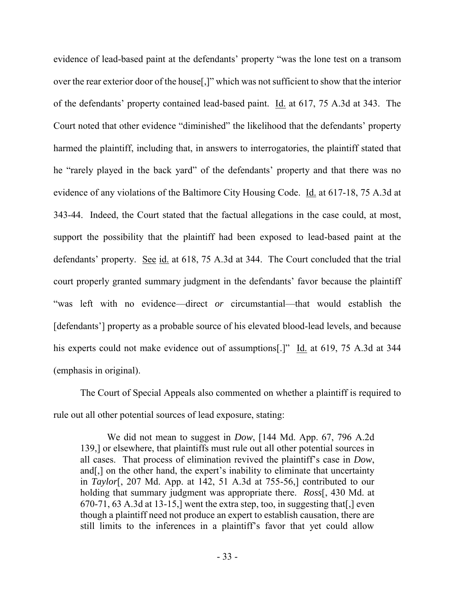evidence of lead-based paint at the defendants' property "was the lone test on a transom over the rear exterior door of the house[,]" which was not sufficient to show that the interior of the defendants' property contained lead-based paint. Id. at 617, 75 A.3d at 343. The Court noted that other evidence "diminished" the likelihood that the defendants' property harmed the plaintiff, including that, in answers to interrogatories, the plaintiff stated that he "rarely played in the back yard" of the defendants' property and that there was no evidence of any violations of the Baltimore City Housing Code. Id. at 617-18, 75 A.3d at 343-44. Indeed, the Court stated that the factual allegations in the case could, at most, support the possibility that the plaintiff had been exposed to lead-based paint at the defendants' property. See id. at 618, 75 A.3d at 344. The Court concluded that the trial court properly granted summary judgment in the defendants' favor because the plaintiff "was left with no evidence—direct *or* circumstantial—that would establish the [defendants'] property as a probable source of his elevated blood-lead levels, and because his experts could not make evidence out of assumptions[.]" Id. at 619, 75 A.3d at 344 (emphasis in original).

 The Court of Special Appeals also commented on whether a plaintiff is required to rule out all other potential sources of lead exposure, stating:

We did not mean to suggest in *Dow*, [144 Md. App. 67, 796 A.2d 139,] or elsewhere, that plaintiffs must rule out all other potential sources in all cases. That process of elimination revived the plaintiff's case in *Dow*, and[,] on the other hand, the expert's inability to eliminate that uncertainty in *Taylor*[, 207 Md. App. at 142, 51 A.3d at 755-56,] contributed to our holding that summary judgment was appropriate there. *Ross*[, 430 Md. at 670-71, 63 A.3d at 13-15,] went the extra step, too, in suggesting that[,] even though a plaintiff need not produce an expert to establish causation, there are still limits to the inferences in a plaintiff's favor that yet could allow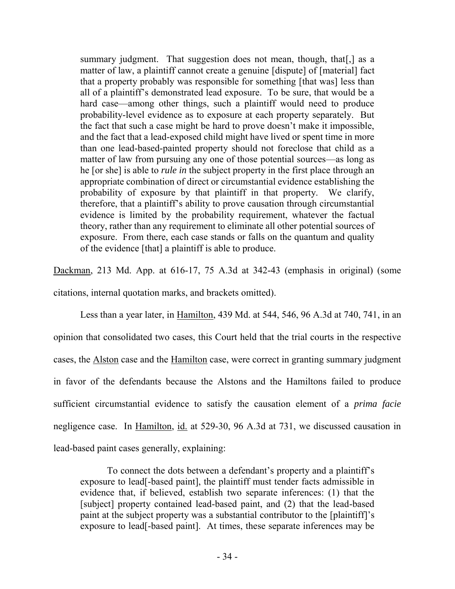summary judgment. That suggestion does not mean, though, that [, ] as a matter of law, a plaintiff cannot create a genuine [dispute] of [material] fact that a property probably was responsible for something [that was] less than all of a plaintiff's demonstrated lead exposure. To be sure, that would be a hard case—among other things, such a plaintiff would need to produce probability-level evidence as to exposure at each property separately. But the fact that such a case might be hard to prove doesn't make it impossible, and the fact that a lead-exposed child might have lived or spent time in more than one lead-based-painted property should not foreclose that child as a matter of law from pursuing any one of those potential sources—as long as he [or she] is able to *rule in* the subject property in the first place through an appropriate combination of direct or circumstantial evidence establishing the probability of exposure by that plaintiff in that property. We clarify, therefore, that a plaintiff's ability to prove causation through circumstantial evidence is limited by the probability requirement, whatever the factual theory, rather than any requirement to eliminate all other potential sources of exposure. From there, each case stands or falls on the quantum and quality of the evidence [that] a plaintiff is able to produce.

Dackman, 213 Md. App. at 616-17, 75 A.3d at 342-43 (emphasis in original) (some citations, internal quotation marks, and brackets omitted).

Less than a year later, in Hamilton, 439 Md. at 544, 546, 96 A.3d at 740, 741, in an opinion that consolidated two cases, this Court held that the trial courts in the respective cases, the Alston case and the Hamilton case, were correct in granting summary judgment in favor of the defendants because the Alstons and the Hamiltons failed to produce sufficient circumstantial evidence to satisfy the causation element of a *prima facie* negligence case. In Hamilton, id. at 529-30, 96 A.3d at 731, we discussed causation in lead-based paint cases generally, explaining:

To connect the dots between a defendant's property and a plaintiff's exposure to lead[-based paint], the plaintiff must tender facts admissible in evidence that, if believed, establish two separate inferences: (1) that the [subject] property contained lead-based paint, and (2) that the lead-based paint at the subject property was a substantial contributor to the [plaintiff]'s exposure to lead[-based paint]. At times, these separate inferences may be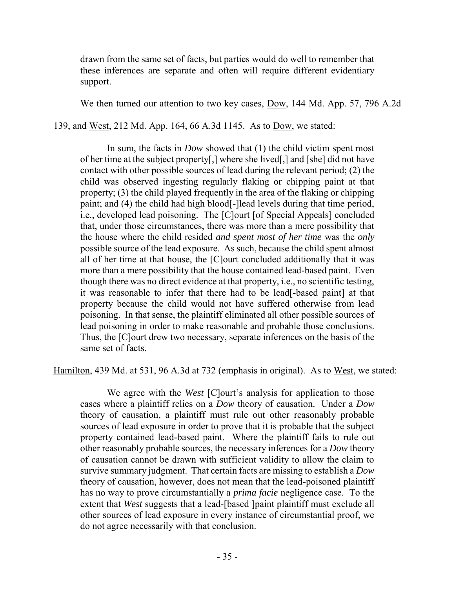drawn from the same set of facts, but parties would do well to remember that these inferences are separate and often will require different evidentiary support.

We then turned our attention to two key cases, Dow, 144 Md. App. 57, 796 A.2d

139, and West, 212 Md. App. 164, 66 A.3d 1145. As to Dow, we stated:

In sum, the facts in *Dow* showed that (1) the child victim spent most of her time at the subject property[,] where she lived[,] and [she] did not have contact with other possible sources of lead during the relevant period; (2) the child was observed ingesting regularly flaking or chipping paint at that property; (3) the child played frequently in the area of the flaking or chipping paint; and (4) the child had high blood[-]lead levels during that time period, i.e., developed lead poisoning. The [C]ourt [of Special Appeals] concluded that, under those circumstances, there was more than a mere possibility that the house where the child resided *and spent most of her time* was the *only* possible source of the lead exposure. As such, because the child spent almost all of her time at that house, the [C]ourt concluded additionally that it was more than a mere possibility that the house contained lead-based paint. Even though there was no direct evidence at that property, i.e., no scientific testing, it was reasonable to infer that there had to be lead[-based paint] at that property because the child would not have suffered otherwise from lead poisoning. In that sense, the plaintiff eliminated all other possible sources of lead poisoning in order to make reasonable and probable those conclusions. Thus, the [C]ourt drew two necessary, separate inferences on the basis of the same set of facts.

Hamilton, 439 Md. at 531, 96 A.3d at 732 (emphasis in original). As to West, we stated:

We agree with the *West* [C]ourt's analysis for application to those cases where a plaintiff relies on a *Dow* theory of causation. Under a *Dow* theory of causation, a plaintiff must rule out other reasonably probable sources of lead exposure in order to prove that it is probable that the subject property contained lead-based paint. Where the plaintiff fails to rule out other reasonably probable sources, the necessary inferences for a *Dow* theory of causation cannot be drawn with sufficient validity to allow the claim to survive summary judgment. That certain facts are missing to establish a *Dow* theory of causation, however, does not mean that the lead-poisoned plaintiff has no way to prove circumstantially a *prima facie* negligence case. To the extent that *West* suggests that a lead-[based ]paint plaintiff must exclude all other sources of lead exposure in every instance of circumstantial proof, we do not agree necessarily with that conclusion.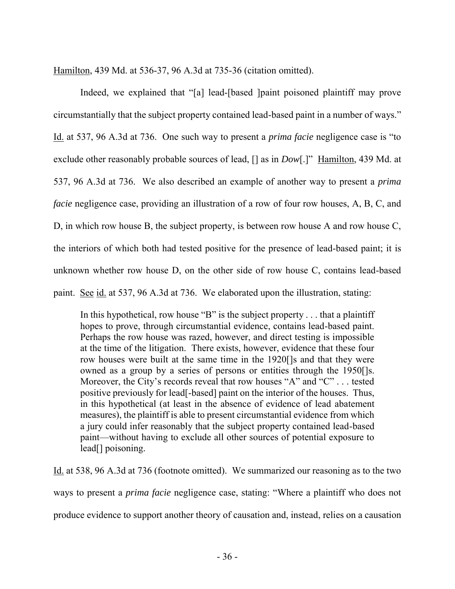Hamilton, 439 Md. at 536-37, 96 A.3d at 735-36 (citation omitted).

Indeed, we explained that "[a] lead-[based ]paint poisoned plaintiff may prove circumstantially that the subject property contained lead-based paint in a number of ways." Id. at 537, 96 A.3d at 736. One such way to present a *prima facie* negligence case is "to exclude other reasonably probable sources of lead, [] as in *Dow*[.]" Hamilton, 439 Md. at 537, 96 A.3d at 736. We also described an example of another way to present a *prima facie* negligence case, providing an illustration of a row of four row houses, A, B, C, and D, in which row house B, the subject property, is between row house A and row house C, the interiors of which both had tested positive for the presence of lead-based paint; it is unknown whether row house D, on the other side of row house C, contains lead-based paint. See id. at 537, 96 A.3d at 736. We elaborated upon the illustration, stating:

In this hypothetical, row house "B" is the subject property . . . that a plaintiff hopes to prove, through circumstantial evidence, contains lead-based paint. Perhaps the row house was razed, however, and direct testing is impossible at the time of the litigation. There exists, however, evidence that these four row houses were built at the same time in the 1920[]s and that they were owned as a group by a series of persons or entities through the 1950[]s. Moreover, the City's records reveal that row houses "A" and "C" . . . tested positive previously for lead[-based] paint on the interior of the houses. Thus, in this hypothetical (at least in the absence of evidence of lead abatement measures), the plaintiff is able to present circumstantial evidence from which a jury could infer reasonably that the subject property contained lead-based paint—without having to exclude all other sources of potential exposure to lead[] poisoning.

Id. at 538, 96 A.3d at 736 (footnote omitted). We summarized our reasoning as to the two ways to present a *prima facie* negligence case, stating: "Where a plaintiff who does not produce evidence to support another theory of causation and, instead, relies on a causation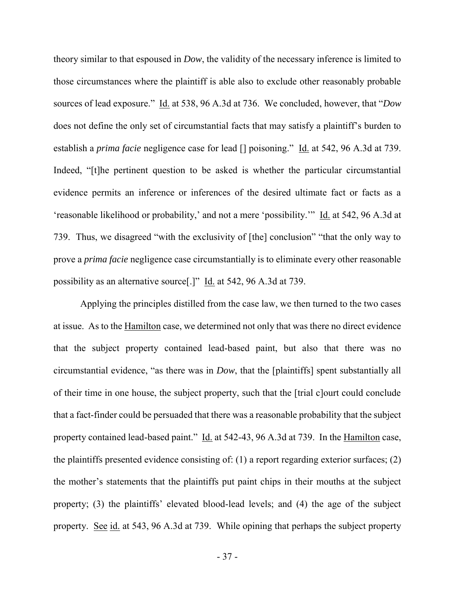theory similar to that espoused in *Dow*, the validity of the necessary inference is limited to those circumstances where the plaintiff is able also to exclude other reasonably probable sources of lead exposure." Id. at 538, 96 A.3d at 736. We concluded, however, that "*Dow* does not define the only set of circumstantial facts that may satisfy a plaintiff's burden to establish a *prima facie* negligence case for lead [] poisoning." Id. at 542, 96 A.3d at 739. Indeed, "[t]he pertinent question to be asked is whether the particular circumstantial evidence permits an inference or inferences of the desired ultimate fact or facts as a 'reasonable likelihood or probability,' and not a mere 'possibility.'" Id. at 542, 96 A.3d at 739. Thus, we disagreed "with the exclusivity of [the] conclusion" "that the only way to prove a *prima facie* negligence case circumstantially is to eliminate every other reasonable possibility as an alternative source[.]" Id. at 542, 96 A.3d at 739.

Applying the principles distilled from the case law, we then turned to the two cases at issue. As to the Hamilton case, we determined not only that was there no direct evidence that the subject property contained lead-based paint, but also that there was no circumstantial evidence, "as there was in *Dow*, that the [plaintiffs] spent substantially all of their time in one house, the subject property, such that the [trial c]ourt could conclude that a fact-finder could be persuaded that there was a reasonable probability that the subject property contained lead-based paint." Id. at 542-43, 96 A.3d at 739. In the Hamilton case, the plaintiffs presented evidence consisting of: (1) a report regarding exterior surfaces; (2) the mother's statements that the plaintiffs put paint chips in their mouths at the subject property; (3) the plaintiffs' elevated blood-lead levels; and (4) the age of the subject property. See id. at 543, 96 A.3d at 739. While opining that perhaps the subject property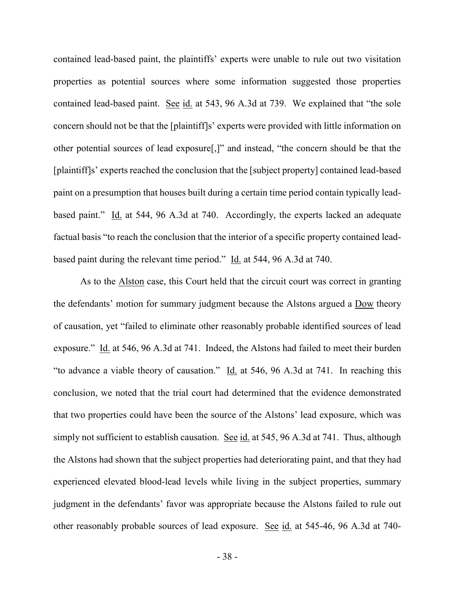contained lead-based paint, the plaintiffs' experts were unable to rule out two visitation properties as potential sources where some information suggested those properties contained lead-based paint. See id. at 543, 96 A.3d at 739. We explained that "the sole concern should not be that the [plaintiff]s' experts were provided with little information on other potential sources of lead exposure[,]" and instead, "the concern should be that the [plaintiff]s' experts reached the conclusion that the [subject property] contained lead-based paint on a presumption that houses built during a certain time period contain typically leadbased paint." Id. at 544, 96 A.3d at 740. Accordingly, the experts lacked an adequate factual basis "to reach the conclusion that the interior of a specific property contained leadbased paint during the relevant time period." Id. at 544, 96 A.3d at 740.

As to the Alston case, this Court held that the circuit court was correct in granting the defendants' motion for summary judgment because the Alstons argued a Dow theory of causation, yet "failed to eliminate other reasonably probable identified sources of lead exposure." Id. at 546, 96 A.3d at 741. Indeed, the Alstons had failed to meet their burden "to advance a viable theory of causation." Id. at 546, 96 A.3d at 741. In reaching this conclusion, we noted that the trial court had determined that the evidence demonstrated that two properties could have been the source of the Alstons' lead exposure, which was simply not sufficient to establish causation. See id. at 545, 96 A.3d at 741. Thus, although the Alstons had shown that the subject properties had deteriorating paint, and that they had experienced elevated blood-lead levels while living in the subject properties, summary judgment in the defendants' favor was appropriate because the Alstons failed to rule out other reasonably probable sources of lead exposure. See id. at 545-46, 96 A.3d at 740-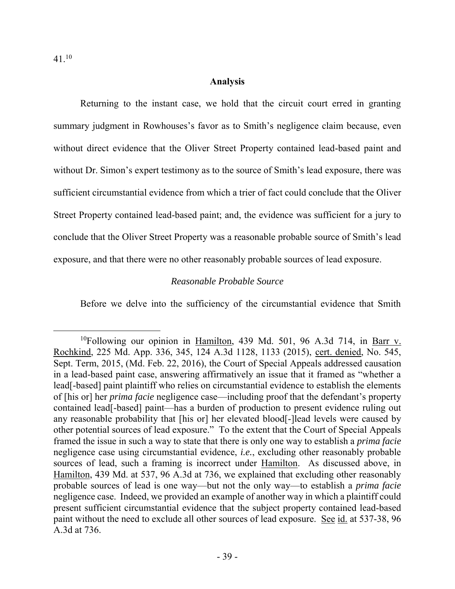$\overline{a}$ 

### **Analysis**

Returning to the instant case, we hold that the circuit court erred in granting summary judgment in Rowhouses's favor as to Smith's negligence claim because, even without direct evidence that the Oliver Street Property contained lead-based paint and without Dr. Simon's expert testimony as to the source of Smith's lead exposure, there was sufficient circumstantial evidence from which a trier of fact could conclude that the Oliver Street Property contained lead-based paint; and, the evidence was sufficient for a jury to conclude that the Oliver Street Property was a reasonable probable source of Smith's lead exposure, and that there were no other reasonably probable sources of lead exposure.

### *Reasonable Probable Source*

Before we delve into the sufficiency of the circumstantial evidence that Smith

<sup>&</sup>lt;sup>10</sup>Following our opinion in Hamilton, 439 Md. 501, 96 A.3d 714, in Barr v. Rochkind, 225 Md. App. 336, 345, 124 A.3d 1128, 1133 (2015), cert. denied, No. 545, Sept. Term, 2015, (Md. Feb. 22, 2016), the Court of Special Appeals addressed causation in a lead-based paint case, answering affirmatively an issue that it framed as "whether a lead[-based] paint plaintiff who relies on circumstantial evidence to establish the elements of [his or] her *prima facie* negligence case—including proof that the defendant's property contained lead[-based] paint—has a burden of production to present evidence ruling out any reasonable probability that [his or] her elevated blood[-]lead levels were caused by other potential sources of lead exposure." To the extent that the Court of Special Appeals framed the issue in such a way to state that there is only one way to establish a *prima facie* negligence case using circumstantial evidence, *i.e.*, excluding other reasonably probable sources of lead, such a framing is incorrect under Hamilton. As discussed above, in Hamilton, 439 Md. at 537, 96 A.3d at 736, we explained that excluding other reasonably probable sources of lead is one way—but not the only way—to establish a *prima facie* negligence case. Indeed, we provided an example of another way in which a plaintiff could present sufficient circumstantial evidence that the subject property contained lead-based paint without the need to exclude all other sources of lead exposure. See id. at 537-38, 96 A.3d at 736.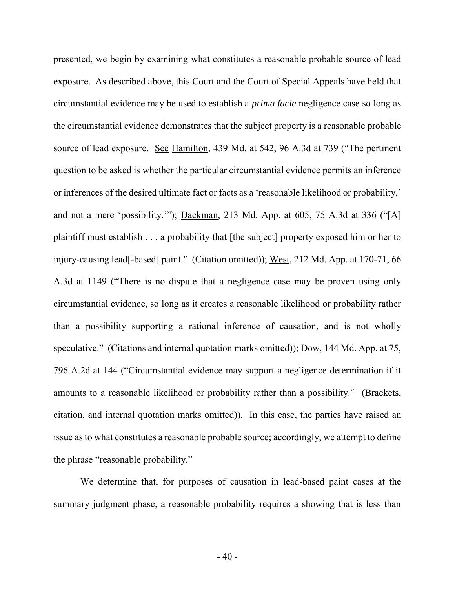presented, we begin by examining what constitutes a reasonable probable source of lead exposure. As described above, this Court and the Court of Special Appeals have held that circumstantial evidence may be used to establish a *prima facie* negligence case so long as the circumstantial evidence demonstrates that the subject property is a reasonable probable source of lead exposure. See Hamilton, 439 Md. at 542, 96 A.3d at 739 ("The pertinent question to be asked is whether the particular circumstantial evidence permits an inference or inferences of the desired ultimate fact or facts as a 'reasonable likelihood or probability,' and not a mere 'possibility.'"); Dackman, 213 Md. App. at 605, 75 A.3d at 336 ("[A] plaintiff must establish . . . a probability that [the subject] property exposed him or her to injury-causing lead[-based] paint." (Citation omitted)); West, 212 Md. App. at 170-71, 66 A.3d at 1149 ("There is no dispute that a negligence case may be proven using only circumstantial evidence, so long as it creates a reasonable likelihood or probability rather than a possibility supporting a rational inference of causation, and is not wholly speculative." (Citations and internal quotation marks omitted)); Dow, 144 Md. App. at 75, 796 A.2d at 144 ("Circumstantial evidence may support a negligence determination if it amounts to a reasonable likelihood or probability rather than a possibility." (Brackets, citation, and internal quotation marks omitted)). In this case, the parties have raised an issue as to what constitutes a reasonable probable source; accordingly, we attempt to define the phrase "reasonable probability."

We determine that, for purposes of causation in lead-based paint cases at the summary judgment phase, a reasonable probability requires a showing that is less than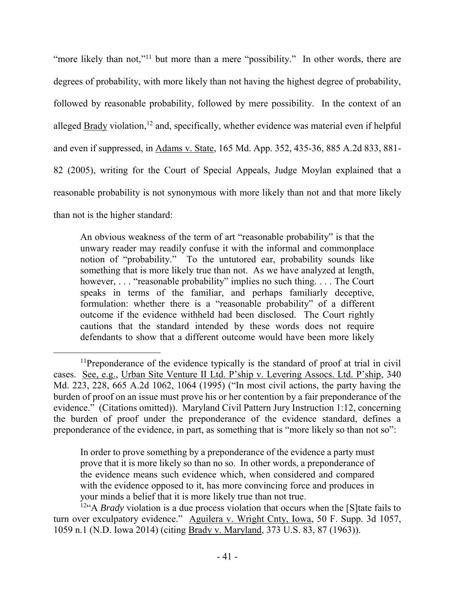"more likely than not,"<sup>11</sup> but more than a mere "possibility." In other words, there are degrees of probability, with more likely than not having the highest degree of probability, followed by reasonable probability, followed by mere possibility. In the context of an alleged Brady violation,<sup>12</sup> and, specifically, whether evidence was material even if helpful and even if suppressed, in Adams v. State, 165 Md. App. 352, 435-36, 885 A.2d 833, 881- 82 (2005), writing for the Court of Special Appeals, Judge Moylan explained that a reasonable probability is not synonymous with more likely than not and that more likely than not is the higher standard:

An obvious weakness of the term of art "reasonable probability" is that the unwary reader may readily confuse it with the informal and commonplace notion of "probability." To the untutored ear, probability sounds like something that is more likely true than not. As we have analyzed at length, however, . . . "reasonable probability" implies no such thing. . . . The Court speaks in terms of the familiar, and perhaps familiarly deceptive, formulation: whether there is a "reasonable probability" of a different outcome if the evidence withheld had been disclosed. The Court rightly cautions that the standard intended by these words does not require defendants to show that a different outcome would have been more likely

In order to prove something by a preponderance of the evidence a party must prove that it is more likely so than no so. In other words, a preponderance of the evidence means such evidence which, when considered and compared with the evidence opposed to it, has more convincing force and produces in your minds a belief that it is more likely true than not true.

<sup>12"</sup>A *Brady* violation is a due process violation that occurs when the [S] tate fails to turn over exculpatory evidence." Aguilera v. Wright Cnty, Iowa, 50 F. Supp. 3d 1057, 1059 n.1 (N.D. Iowa 2014) (citing Brady v. Maryland, 373 U.S. 83, 87 (1963)).

 $\overline{a}$ <sup>11</sup>Preponderance of the evidence typically is the standard of proof at trial in civil cases. See, e.g., Urban Site Venture II Ltd. P'ship v. Levering Assocs. Ltd. P'ship, 340 Md. 223, 228, 665 A.2d 1062, 1064 (1995) ("In most civil actions, the party having the burden of proof on an issue must prove his or her contention by a fair preponderance of the evidence." (Citations omitted)). Maryland Civil Pattern Jury Instruction 1:12, concerning the burden of proof under the preponderance of the evidence standard, defines a preponderance of the evidence, in part, as something that is "more likely so than not so":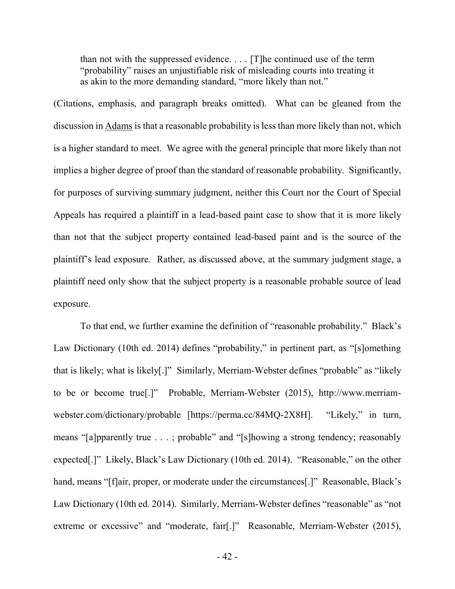than not with the suppressed evidence. . . . [T]he continued use of the term "probability" raises an unjustifiable risk of misleading courts into treating it as akin to the more demanding standard, "more likely than not."

(Citations, emphasis, and paragraph breaks omitted). What can be gleaned from the discussion in Adams is that a reasonable probability is less than more likely than not, which is a higher standard to meet. We agree with the general principle that more likely than not implies a higher degree of proof than the standard of reasonable probability. Significantly, for purposes of surviving summary judgment, neither this Court nor the Court of Special Appeals has required a plaintiff in a lead-based paint case to show that it is more likely than not that the subject property contained lead-based paint and is the source of the plaintiff's lead exposure. Rather, as discussed above, at the summary judgment stage, a plaintiff need only show that the subject property is a reasonable probable source of lead exposure.

 To that end, we further examine the definition of "reasonable probability." Black's Law Dictionary (10th ed. 2014) defines "probability," in pertinent part, as "[s]omething that is likely; what is likely[.]" Similarly, Merriam-Webster defines "probable" as "likely to be or become true[.]" Probable, Merriam-Webster (2015), http://www.merriamwebster.com/dictionary/probable [https://perma.cc/84MQ-2X8H]. "Likely," in turn, means "[a]pparently true . . . ; probable" and "[s]howing a strong tendency; reasonably expected[.]" Likely, Black's Law Dictionary (10th ed. 2014). "Reasonable," on the other hand, means "[f]air, proper, or moderate under the circumstances[.]" Reasonable, Black's Law Dictionary (10th ed. 2014). Similarly, Merriam-Webster defines "reasonable" as "not extreme or excessive" and "moderate, fair[.]" Reasonable, Merriam-Webster (2015),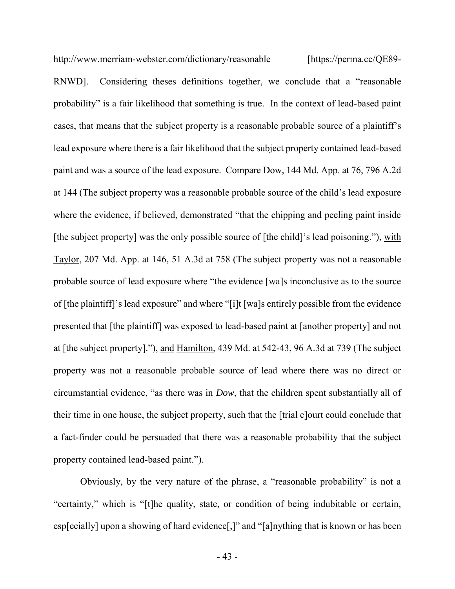http://www.merriam-webster.com/dictionary/reasonable [https://perma.cc/QE89-RNWD]. Considering theses definitions together, we conclude that a "reasonable probability" is a fair likelihood that something is true. In the context of lead-based paint cases, that means that the subject property is a reasonable probable source of a plaintiff's lead exposure where there is a fair likelihood that the subject property contained lead-based paint and was a source of the lead exposure. Compare Dow, 144 Md. App. at 76, 796 A.2d at 144 (The subject property was a reasonable probable source of the child's lead exposure where the evidence, if believed, demonstrated "that the chipping and peeling paint inside [the subject property] was the only possible source of [the child]'s lead poisoning."), with Taylor, 207 Md. App. at 146, 51 A.3d at 758 (The subject property was not a reasonable probable source of lead exposure where "the evidence [wa]s inconclusive as to the source of [the plaintiff]'s lead exposure" and where "[i]t [wa]s entirely possible from the evidence presented that [the plaintiff] was exposed to lead-based paint at [another property] and not at [the subject property]."), and Hamilton, 439 Md. at 542-43, 96 A.3d at 739 (The subject property was not a reasonable probable source of lead where there was no direct or circumstantial evidence, "as there was in *Dow*, that the children spent substantially all of their time in one house, the subject property, such that the [trial c]ourt could conclude that a fact-finder could be persuaded that there was a reasonable probability that the subject property contained lead-based paint.").

Obviously, by the very nature of the phrase, a "reasonable probability" is not a "certainty," which is "[t]he quality, state, or condition of being indubitable or certain, esp[ecially] upon a showing of hard evidence[,]" and "[a]nything that is known or has been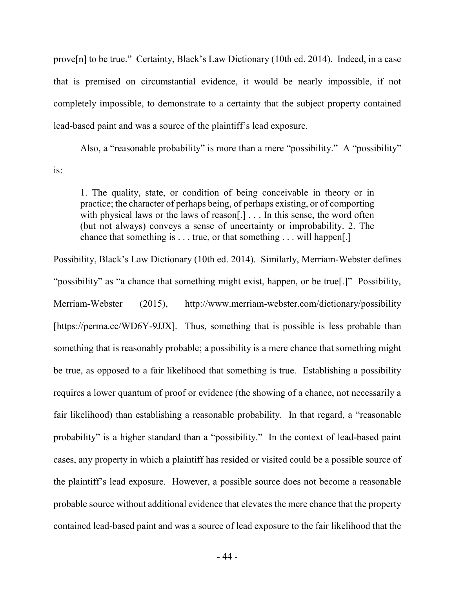prove[n] to be true." Certainty, Black's Law Dictionary (10th ed. 2014). Indeed, in a case that is premised on circumstantial evidence, it would be nearly impossible, if not completely impossible, to demonstrate to a certainty that the subject property contained lead-based paint and was a source of the plaintiff's lead exposure.

Also, a "reasonable probability" is more than a mere "possibility." A "possibility" is:

1. The quality, state, or condition of being conceivable in theory or in practice; the character of perhaps being, of perhaps existing, or of comporting with physical laws or the laws of reason[.] . . . In this sense, the word often (but not always) conveys a sense of uncertainty or improbability. 2. The chance that something is . . . true, or that something . . . will happen[.]

Possibility, Black's Law Dictionary (10th ed. 2014). Similarly, Merriam-Webster defines "possibility" as "a chance that something might exist, happen, or be true[.]" Possibility, Merriam-Webster (2015), http://www.merriam-webster.com/dictionary/possibility [https://perma.cc/WD6Y-9JJX]. Thus, something that is possible is less probable than something that is reasonably probable; a possibility is a mere chance that something might be true, as opposed to a fair likelihood that something is true. Establishing a possibility requires a lower quantum of proof or evidence (the showing of a chance, not necessarily a fair likelihood) than establishing a reasonable probability. In that regard, a "reasonable probability" is a higher standard than a "possibility." In the context of lead-based paint cases, any property in which a plaintiff has resided or visited could be a possible source of the plaintiff's lead exposure. However, a possible source does not become a reasonable probable source without additional evidence that elevates the mere chance that the property contained lead-based paint and was a source of lead exposure to the fair likelihood that the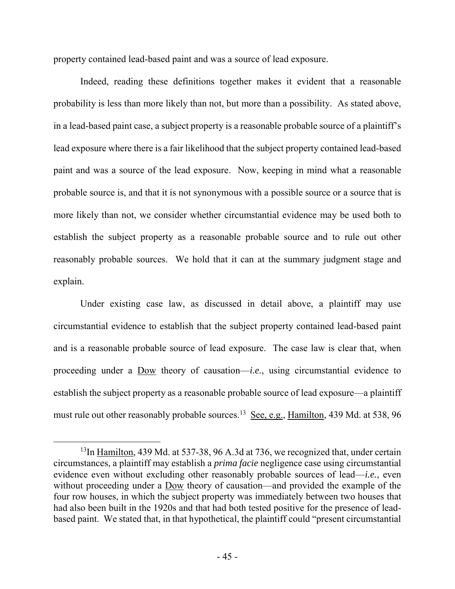property contained lead-based paint and was a source of lead exposure.

Indeed, reading these definitions together makes it evident that a reasonable probability is less than more likely than not, but more than a possibility. As stated above, in a lead-based paint case, a subject property is a reasonable probable source of a plaintiff's lead exposure where there is a fair likelihood that the subject property contained lead-based paint and was a source of the lead exposure. Now, keeping in mind what a reasonable probable source is, and that it is not synonymous with a possible source or a source that is more likely than not, we consider whether circumstantial evidence may be used both to establish the subject property as a reasonable probable source and to rule out other reasonably probable sources. We hold that it can at the summary judgment stage and explain.

Under existing case law, as discussed in detail above, a plaintiff may use circumstantial evidence to establish that the subject property contained lead-based paint and is a reasonable probable source of lead exposure. The case law is clear that, when proceeding under a Dow theory of causation—*i.e.*, using circumstantial evidence to establish the subject property as a reasonable probable source of lead exposure—a plaintiff must rule out other reasonably probable sources.<sup>13</sup> See, e.g., Hamilton, 439 Md. at 538, 96

<sup>&</sup>lt;sup>13</sup>In Hamilton, 439 Md. at 537-38, 96 A.3d at 736, we recognized that, under certain circumstances, a plaintiff may establish a *prima facie* negligence case using circumstantial evidence even without excluding other reasonably probable sources of lead—*i.e.*, even without proceeding under a Dow theory of causation—and provided the example of the four row houses, in which the subject property was immediately between two houses that had also been built in the 1920s and that had both tested positive for the presence of leadbased paint. We stated that, in that hypothetical, the plaintiff could "present circumstantial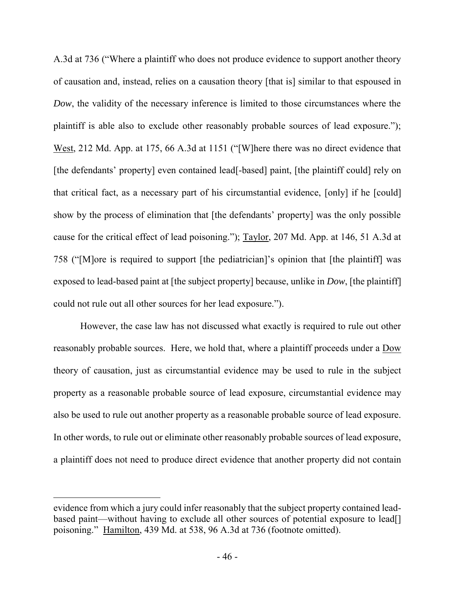A.3d at 736 ("Where a plaintiff who does not produce evidence to support another theory of causation and, instead, relies on a causation theory [that is] similar to that espoused in *Dow*, the validity of the necessary inference is limited to those circumstances where the plaintiff is able also to exclude other reasonably probable sources of lead exposure."); West, 212 Md. App. at 175, 66 A.3d at 1151 ("[W]here there was no direct evidence that [the defendants' property] even contained lead[-based] paint, [the plaintiff could] rely on that critical fact, as a necessary part of his circumstantial evidence, [only] if he [could] show by the process of elimination that [the defendants' property] was the only possible cause for the critical effect of lead poisoning."); Taylor, 207 Md. App. at 146, 51 A.3d at 758 ("[M]ore is required to support [the pediatrician]'s opinion that [the plaintiff] was exposed to lead-based paint at [the subject property] because, unlike in *Dow*, [the plaintiff] could not rule out all other sources for her lead exposure.").

However, the case law has not discussed what exactly is required to rule out other reasonably probable sources. Here, we hold that, where a plaintiff proceeds under a Dow theory of causation, just as circumstantial evidence may be used to rule in the subject property as a reasonable probable source of lead exposure, circumstantial evidence may also be used to rule out another property as a reasonable probable source of lead exposure. In other words, to rule out or eliminate other reasonably probable sources of lead exposure, a plaintiff does not need to produce direct evidence that another property did not contain

evidence from which a jury could infer reasonably that the subject property contained leadbased paint—without having to exclude all other sources of potential exposure to lead[] poisoning." Hamilton, 439 Md. at 538, 96 A.3d at 736 (footnote omitted).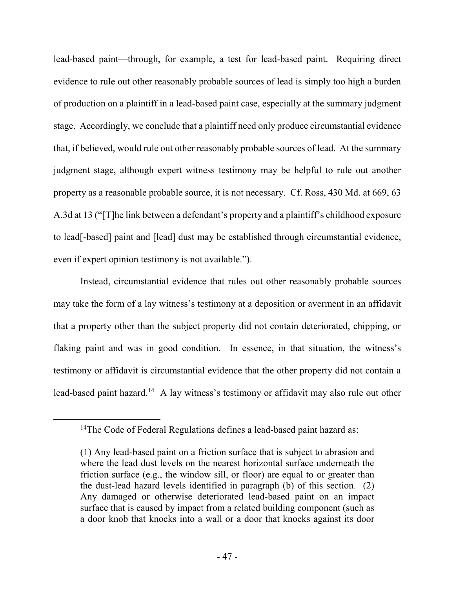lead-based paint—through, for example, a test for lead-based paint. Requiring direct evidence to rule out other reasonably probable sources of lead is simply too high a burden of production on a plaintiff in a lead-based paint case, especially at the summary judgment stage. Accordingly, we conclude that a plaintiff need only produce circumstantial evidence that, if believed, would rule out other reasonably probable sources of lead. At the summary judgment stage, although expert witness testimony may be helpful to rule out another property as a reasonable probable source, it is not necessary. Cf. Ross, 430 Md. at 669, 63 A.3d at 13 ("[T]he link between a defendant's property and a plaintiff's childhood exposure to lead[-based] paint and [lead] dust may be established through circumstantial evidence, even if expert opinion testimony is not available.").

Instead, circumstantial evidence that rules out other reasonably probable sources may take the form of a lay witness's testimony at a deposition or averment in an affidavit that a property other than the subject property did not contain deteriorated, chipping, or flaking paint and was in good condition. In essence, in that situation, the witness's testimony or affidavit is circumstantial evidence that the other property did not contain a lead-based paint hazard.<sup>14</sup> A lay witness's testimony or affidavit may also rule out other

<sup>&</sup>lt;sup>14</sup>The Code of Federal Regulations defines a lead-based paint hazard as:

<sup>(1)</sup> Any lead-based paint on a friction surface that is subject to abrasion and where the lead dust levels on the nearest horizontal surface underneath the friction surface (e.g., the window sill, or floor) are equal to or greater than the dust-lead hazard levels identified in paragraph (b) of this section. (2) Any damaged or otherwise deteriorated lead-based paint on an impact surface that is caused by impact from a related building component (such as a door knob that knocks into a wall or a door that knocks against its door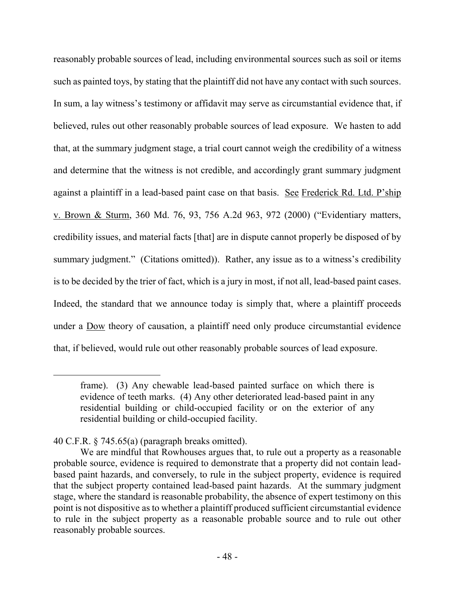reasonably probable sources of lead, including environmental sources such as soil or items such as painted toys, by stating that the plaintiff did not have any contact with such sources. In sum, a lay witness's testimony or affidavit may serve as circumstantial evidence that, if believed, rules out other reasonably probable sources of lead exposure. We hasten to add that, at the summary judgment stage, a trial court cannot weigh the credibility of a witness and determine that the witness is not credible, and accordingly grant summary judgment against a plaintiff in a lead-based paint case on that basis. See Frederick Rd. Ltd. P'ship v. Brown & Sturm, 360 Md. 76, 93, 756 A.2d 963, 972 (2000) ("Evidentiary matters, credibility issues, and material facts [that] are in dispute cannot properly be disposed of by summary judgment." (Citations omitted)). Rather, any issue as to a witness's credibility is to be decided by the trier of fact, which is a jury in most, if not all, lead-based paint cases. Indeed, the standard that we announce today is simply that, where a plaintiff proceeds under a Dow theory of causation, a plaintiff need only produce circumstantial evidence that, if believed, would rule out other reasonably probable sources of lead exposure.

frame). (3) Any chewable lead-based painted surface on which there is evidence of teeth marks. (4) Any other deteriorated lead-based paint in any residential building or child-occupied facility or on the exterior of any residential building or child-occupied facility.

<sup>40</sup> C.F.R. § 745.65(a) (paragraph breaks omitted).

We are mindful that Rowhouses argues that, to rule out a property as a reasonable probable source, evidence is required to demonstrate that a property did not contain leadbased paint hazards, and conversely, to rule in the subject property, evidence is required that the subject property contained lead-based paint hazards. At the summary judgment stage, where the standard is reasonable probability, the absence of expert testimony on this point is not dispositive as to whether a plaintiff produced sufficient circumstantial evidence to rule in the subject property as a reasonable probable source and to rule out other reasonably probable sources.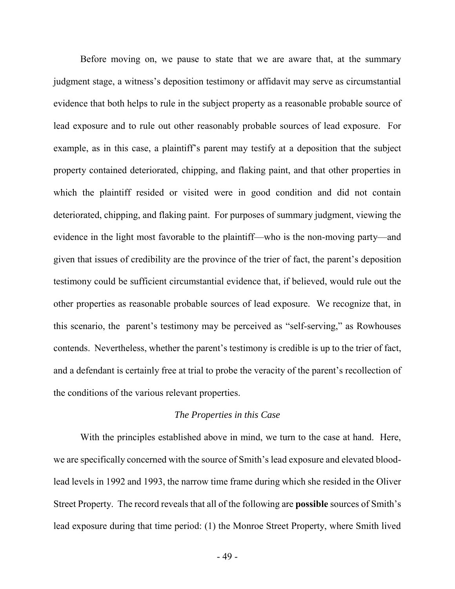Before moving on, we pause to state that we are aware that, at the summary judgment stage, a witness's deposition testimony or affidavit may serve as circumstantial evidence that both helps to rule in the subject property as a reasonable probable source of lead exposure and to rule out other reasonably probable sources of lead exposure. For example, as in this case, a plaintiff's parent may testify at a deposition that the subject property contained deteriorated, chipping, and flaking paint, and that other properties in which the plaintiff resided or visited were in good condition and did not contain deteriorated, chipping, and flaking paint. For purposes of summary judgment, viewing the evidence in the light most favorable to the plaintiff—who is the non-moving party—and given that issues of credibility are the province of the trier of fact, the parent's deposition testimony could be sufficient circumstantial evidence that, if believed, would rule out the other properties as reasonable probable sources of lead exposure. We recognize that, in this scenario, the parent's testimony may be perceived as "self-serving," as Rowhouses contends. Nevertheless, whether the parent's testimony is credible is up to the trier of fact, and a defendant is certainly free at trial to probe the veracity of the parent's recollection of the conditions of the various relevant properties.

### *The Properties in this Case*

With the principles established above in mind, we turn to the case at hand. Here, we are specifically concerned with the source of Smith's lead exposure and elevated bloodlead levels in 1992 and 1993, the narrow time frame during which she resided in the Oliver Street Property. The record reveals that all of the following are **possible** sources of Smith's lead exposure during that time period: (1) the Monroe Street Property, where Smith lived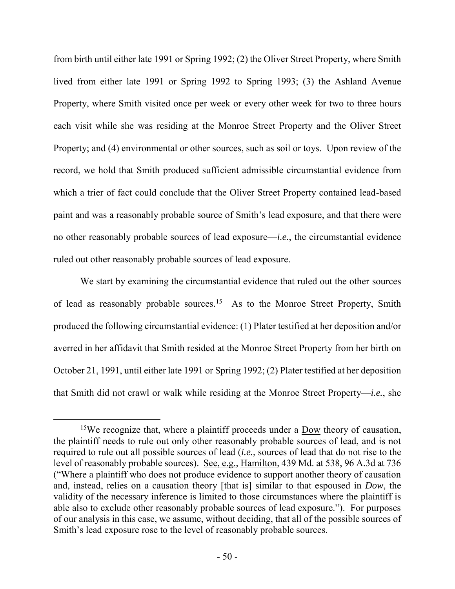from birth until either late 1991 or Spring 1992; (2) the Oliver Street Property, where Smith lived from either late 1991 or Spring 1992 to Spring 1993; (3) the Ashland Avenue Property, where Smith visited once per week or every other week for two to three hours each visit while she was residing at the Monroe Street Property and the Oliver Street Property; and (4) environmental or other sources, such as soil or toys. Upon review of the record, we hold that Smith produced sufficient admissible circumstantial evidence from which a trier of fact could conclude that the Oliver Street Property contained lead-based paint and was a reasonably probable source of Smith's lead exposure, and that there were no other reasonably probable sources of lead exposure—*i.e.*, the circumstantial evidence ruled out other reasonably probable sources of lead exposure.

We start by examining the circumstantial evidence that ruled out the other sources of lead as reasonably probable sources.<sup>15</sup> As to the Monroe Street Property, Smith produced the following circumstantial evidence: (1) Plater testified at her deposition and/or averred in her affidavit that Smith resided at the Monroe Street Property from her birth on October 21, 1991, until either late 1991 or Spring 1992; (2) Plater testified at her deposition that Smith did not crawl or walk while residing at the Monroe Street Property—*i.e.*, she

<sup>&</sup>lt;sup>15</sup>We recognize that, where a plaintiff proceeds under a Dow theory of causation, the plaintiff needs to rule out only other reasonably probable sources of lead, and is not required to rule out all possible sources of lead (*i.e.*, sources of lead that do not rise to the level of reasonably probable sources). See, e.g., Hamilton, 439 Md. at 538, 96 A.3d at 736 ("Where a plaintiff who does not produce evidence to support another theory of causation and, instead, relies on a causation theory [that is] similar to that espoused in *Dow*, the validity of the necessary inference is limited to those circumstances where the plaintiff is able also to exclude other reasonably probable sources of lead exposure."). For purposes of our analysis in this case, we assume, without deciding, that all of the possible sources of Smith's lead exposure rose to the level of reasonably probable sources.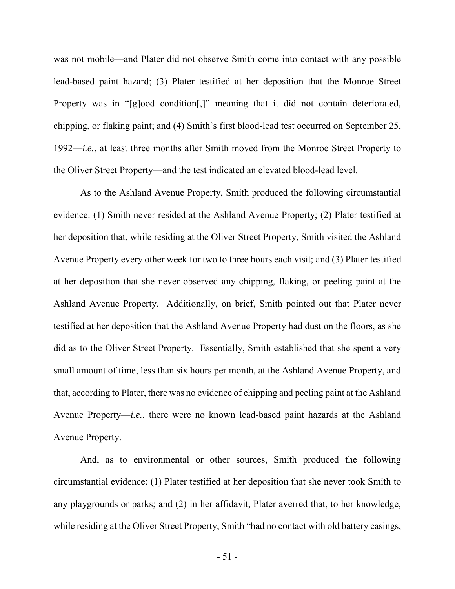was not mobile—and Plater did not observe Smith come into contact with any possible lead-based paint hazard; (3) Plater testified at her deposition that the Monroe Street Property was in "[g]ood condition[,]" meaning that it did not contain deteriorated, chipping, or flaking paint; and (4) Smith's first blood-lead test occurred on September 25, 1992—*i.e.*, at least three months after Smith moved from the Monroe Street Property to the Oliver Street Property—and the test indicated an elevated blood-lead level.

As to the Ashland Avenue Property, Smith produced the following circumstantial evidence: (1) Smith never resided at the Ashland Avenue Property; (2) Plater testified at her deposition that, while residing at the Oliver Street Property, Smith visited the Ashland Avenue Property every other week for two to three hours each visit; and (3) Plater testified at her deposition that she never observed any chipping, flaking, or peeling paint at the Ashland Avenue Property. Additionally, on brief, Smith pointed out that Plater never testified at her deposition that the Ashland Avenue Property had dust on the floors, as she did as to the Oliver Street Property. Essentially, Smith established that she spent a very small amount of time, less than six hours per month, at the Ashland Avenue Property, and that, according to Plater, there was no evidence of chipping and peeling paint at the Ashland Avenue Property—*i.e.*, there were no known lead-based paint hazards at the Ashland Avenue Property.

And, as to environmental or other sources, Smith produced the following circumstantial evidence: (1) Plater testified at her deposition that she never took Smith to any playgrounds or parks; and (2) in her affidavit, Plater averred that, to her knowledge, while residing at the Oliver Street Property, Smith "had no contact with old battery casings,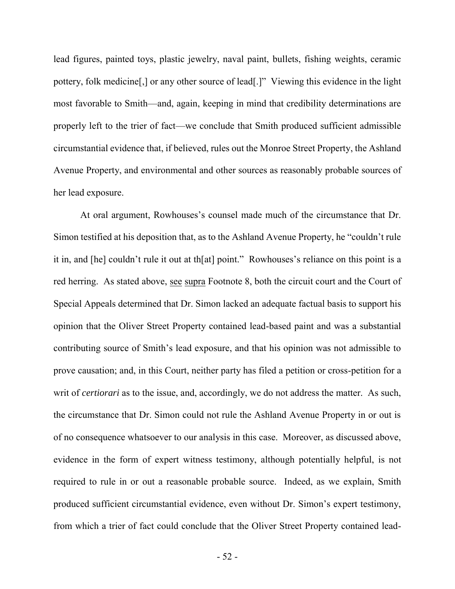lead figures, painted toys, plastic jewelry, naval paint, bullets, fishing weights, ceramic pottery, folk medicine[,] or any other source of lead[.]" Viewing this evidence in the light most favorable to Smith—and, again, keeping in mind that credibility determinations are properly left to the trier of fact—we conclude that Smith produced sufficient admissible circumstantial evidence that, if believed, rules out the Monroe Street Property, the Ashland Avenue Property, and environmental and other sources as reasonably probable sources of her lead exposure.

At oral argument, Rowhouses's counsel made much of the circumstance that Dr. Simon testified at his deposition that, as to the Ashland Avenue Property, he "couldn't rule it in, and [he] couldn't rule it out at th[at] point." Rowhouses's reliance on this point is a red herring. As stated above, see supra Footnote 8, both the circuit court and the Court of Special Appeals determined that Dr. Simon lacked an adequate factual basis to support his opinion that the Oliver Street Property contained lead-based paint and was a substantial contributing source of Smith's lead exposure, and that his opinion was not admissible to prove causation; and, in this Court, neither party has filed a petition or cross-petition for a writ of *certiorari* as to the issue, and, accordingly, we do not address the matter. As such, the circumstance that Dr. Simon could not rule the Ashland Avenue Property in or out is of no consequence whatsoever to our analysis in this case. Moreover, as discussed above, evidence in the form of expert witness testimony, although potentially helpful, is not required to rule in or out a reasonable probable source. Indeed, as we explain, Smith produced sufficient circumstantial evidence, even without Dr. Simon's expert testimony, from which a trier of fact could conclude that the Oliver Street Property contained lead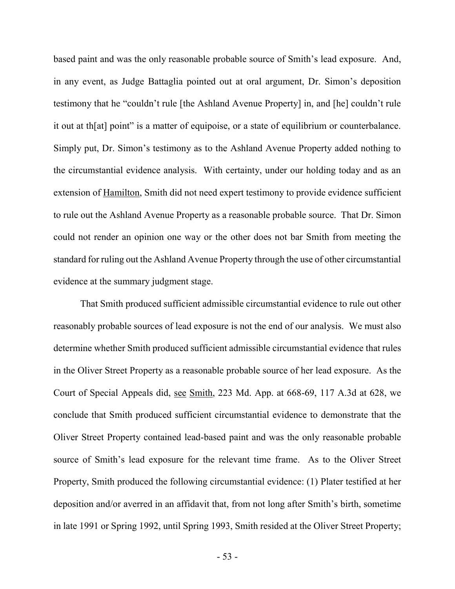based paint and was the only reasonable probable source of Smith's lead exposure. And, in any event, as Judge Battaglia pointed out at oral argument, Dr. Simon's deposition testimony that he "couldn't rule [the Ashland Avenue Property] in, and [he] couldn't rule it out at th[at] point" is a matter of equipoise, or a state of equilibrium or counterbalance. Simply put, Dr. Simon's testimony as to the Ashland Avenue Property added nothing to the circumstantial evidence analysis. With certainty, under our holding today and as an extension of Hamilton, Smith did not need expert testimony to provide evidence sufficient to rule out the Ashland Avenue Property as a reasonable probable source. That Dr. Simon could not render an opinion one way or the other does not bar Smith from meeting the standard for ruling out the Ashland Avenue Property through the use of other circumstantial evidence at the summary judgment stage.

That Smith produced sufficient admissible circumstantial evidence to rule out other reasonably probable sources of lead exposure is not the end of our analysis. We must also determine whether Smith produced sufficient admissible circumstantial evidence that rules in the Oliver Street Property as a reasonable probable source of her lead exposure. As the Court of Special Appeals did, see Smith, 223 Md. App. at 668-69, 117 A.3d at 628, we conclude that Smith produced sufficient circumstantial evidence to demonstrate that the Oliver Street Property contained lead-based paint and was the only reasonable probable source of Smith's lead exposure for the relevant time frame. As to the Oliver Street Property, Smith produced the following circumstantial evidence: (1) Plater testified at her deposition and/or averred in an affidavit that, from not long after Smith's birth, sometime in late 1991 or Spring 1992, until Spring 1993, Smith resided at the Oliver Street Property;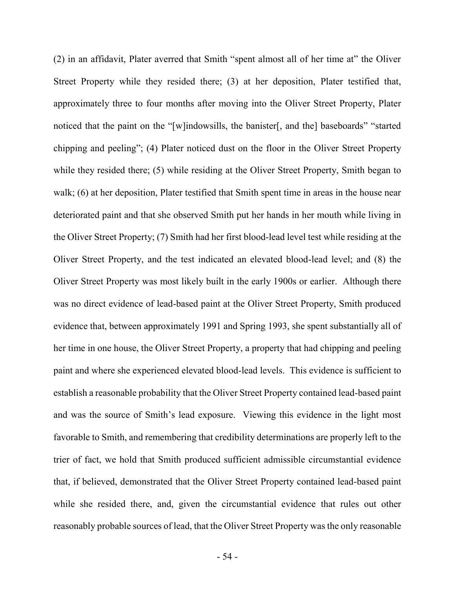(2) in an affidavit, Plater averred that Smith "spent almost all of her time at" the Oliver Street Property while they resided there; (3) at her deposition, Plater testified that, approximately three to four months after moving into the Oliver Street Property, Plater noticed that the paint on the "[w]indowsills, the banister[, and the] baseboards" "started chipping and peeling"; (4) Plater noticed dust on the floor in the Oliver Street Property while they resided there; (5) while residing at the Oliver Street Property, Smith began to walk; (6) at her deposition, Plater testified that Smith spent time in areas in the house near deteriorated paint and that she observed Smith put her hands in her mouth while living in the Oliver Street Property; (7) Smith had her first blood-lead level test while residing at the Oliver Street Property, and the test indicated an elevated blood-lead level; and (8) the Oliver Street Property was most likely built in the early 1900s or earlier. Although there was no direct evidence of lead-based paint at the Oliver Street Property, Smith produced evidence that, between approximately 1991 and Spring 1993, she spent substantially all of her time in one house, the Oliver Street Property, a property that had chipping and peeling paint and where she experienced elevated blood-lead levels. This evidence is sufficient to establish a reasonable probability that the Oliver Street Property contained lead-based paint and was the source of Smith's lead exposure. Viewing this evidence in the light most favorable to Smith, and remembering that credibility determinations are properly left to the trier of fact, we hold that Smith produced sufficient admissible circumstantial evidence that, if believed, demonstrated that the Oliver Street Property contained lead-based paint while she resided there, and, given the circumstantial evidence that rules out other reasonably probable sources of lead, that the Oliver Street Property was the only reasonable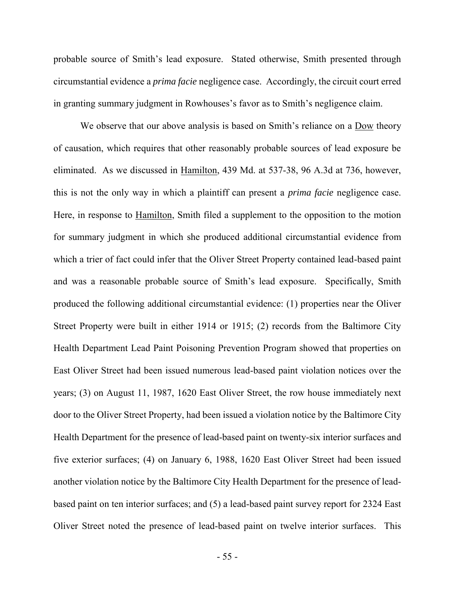probable source of Smith's lead exposure. Stated otherwise, Smith presented through circumstantial evidence a *prima facie* negligence case. Accordingly, the circuit court erred in granting summary judgment in Rowhouses's favor as to Smith's negligence claim.

We observe that our above analysis is based on Smith's reliance on a Dow theory of causation, which requires that other reasonably probable sources of lead exposure be eliminated. As we discussed in Hamilton, 439 Md. at 537-38, 96 A.3d at 736, however, this is not the only way in which a plaintiff can present a *prima facie* negligence case. Here, in response to Hamilton, Smith filed a supplement to the opposition to the motion for summary judgment in which she produced additional circumstantial evidence from which a trier of fact could infer that the Oliver Street Property contained lead-based paint and was a reasonable probable source of Smith's lead exposure. Specifically, Smith produced the following additional circumstantial evidence: (1) properties near the Oliver Street Property were built in either 1914 or 1915; (2) records from the Baltimore City Health Department Lead Paint Poisoning Prevention Program showed that properties on East Oliver Street had been issued numerous lead-based paint violation notices over the years; (3) on August 11, 1987, 1620 East Oliver Street, the row house immediately next door to the Oliver Street Property, had been issued a violation notice by the Baltimore City Health Department for the presence of lead-based paint on twenty-six interior surfaces and five exterior surfaces; (4) on January 6, 1988, 1620 East Oliver Street had been issued another violation notice by the Baltimore City Health Department for the presence of leadbased paint on ten interior surfaces; and (5) a lead-based paint survey report for 2324 East Oliver Street noted the presence of lead-based paint on twelve interior surfaces. This